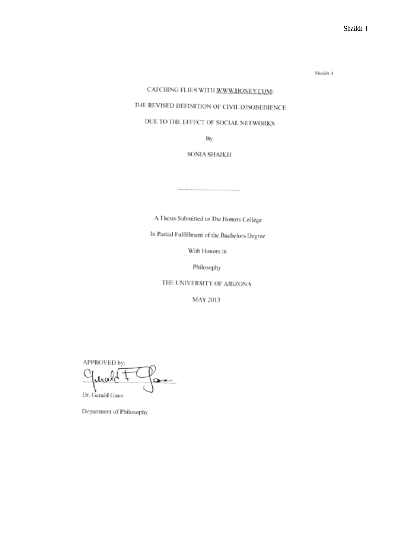Shaikh 1

# CATCHING FLIES WITH WWW.HONEY.COM:

# THE REVISED DEFINITION OF CIVIL DISOBEDIENCE

# DUE TO THE EFFECT OF SOCIAL NETWORKS

By

#### **SONIA SHAIKH**

A Thesis Submitted to The Honors College

In Partial Fulfillment of the Bachelors Degree

With Honors in

Philosophy

THE UNIVERSITY OF ARIZONA

MAY 2013

APPROVED by: Dr. Gerald Gaus

Department of Philosophy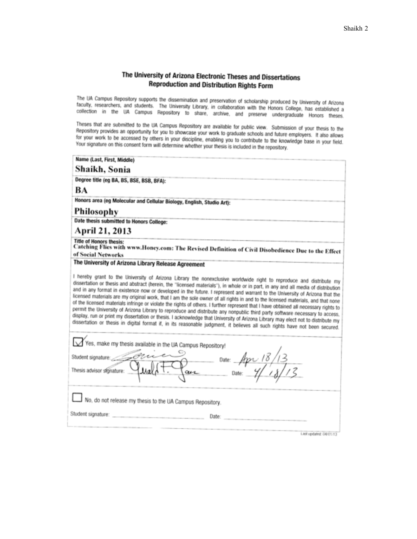## The University of Arizona Electronic Theses and Dissertations **Reproduction and Distribution Rights Form**

The UA Campus Repository supports the dissemination and preservation of scholarship produced by University of Arizona state the energy exposure approximation and preservation of scholarship produced by University of Arizona<br>faculty, researchers, and students. The University Library, in collaboration with the Honors College, has establishe sacurity, researchers, and students. The University Library, in collaboration with the Honors College, has established a<br>collection in the UA Campus Repository to share, archive, and preserve undergraduate Honors theses.

Theses that are submitted to the UA Campus Repository are available for public view. Submission of your thesis to the The position provides an opportunity for you to showcase your work to graduate schools and future employers. It also allows<br>The positiony provides an opportunity for you to showcase your work to graduate schools and future for your work to be accessed by others in you to showcase your work to graduate schools and future employers. It also allows<br>Your signature to be accessed by others in your discipline, enabling you to contribute to the kno Your signature on this consent form will determine whether your thesis is included in the repository.

| Name (Last, First, Middle)                                                                                                                                                                                                                                                                                                                                                                                                                                                                                                                                                                                                                                                                                                                                                                                                                                                                                                                      |
|-------------------------------------------------------------------------------------------------------------------------------------------------------------------------------------------------------------------------------------------------------------------------------------------------------------------------------------------------------------------------------------------------------------------------------------------------------------------------------------------------------------------------------------------------------------------------------------------------------------------------------------------------------------------------------------------------------------------------------------------------------------------------------------------------------------------------------------------------------------------------------------------------------------------------------------------------|
| Shaikh, Sonia                                                                                                                                                                                                                                                                                                                                                                                                                                                                                                                                                                                                                                                                                                                                                                                                                                                                                                                                   |
| Degree title (eg BA, BS, BSE, BSB, BFA):                                                                                                                                                                                                                                                                                                                                                                                                                                                                                                                                                                                                                                                                                                                                                                                                                                                                                                        |
| BA                                                                                                                                                                                                                                                                                                                                                                                                                                                                                                                                                                                                                                                                                                                                                                                                                                                                                                                                              |
| Honors area (eg Molecular and Cellular Biology, English, Studio Art):                                                                                                                                                                                                                                                                                                                                                                                                                                                                                                                                                                                                                                                                                                                                                                                                                                                                           |
| Philosophy                                                                                                                                                                                                                                                                                                                                                                                                                                                                                                                                                                                                                                                                                                                                                                                                                                                                                                                                      |
| Date thesis submitted to Honors College:                                                                                                                                                                                                                                                                                                                                                                                                                                                                                                                                                                                                                                                                                                                                                                                                                                                                                                        |
| April 21, 2013                                                                                                                                                                                                                                                                                                                                                                                                                                                                                                                                                                                                                                                                                                                                                                                                                                                                                                                                  |
| <b>Title of Honors thesis:</b><br>Catching Flies with www.Honey.com: The Revised Definition of Civil Disobedience Due to the Effect<br>of Social Networks                                                                                                                                                                                                                                                                                                                                                                                                                                                                                                                                                                                                                                                                                                                                                                                       |
| The University of Arizona Library Release Agreement                                                                                                                                                                                                                                                                                                                                                                                                                                                                                                                                                                                                                                                                                                                                                                                                                                                                                             |
| dissertation or thesis and abstract (herein, the "licensed materials"), in whole or in part, in any and all media of distribution<br>and in any format in existence now or developed in the future. I represent and warrant to the University of Arizona that the<br>licensed materials are my original work, that I am the sole owner of all rights in and to the licensed materials, and that none<br>of the licensed materials infringe or violate the rights of others. I further represent that I have obtained all necessary rights to<br>permit the University of Arizona Library to reproduce and distribute any nonpublic third party software necessary to access.<br>display, run or print my dissertation or thesis. I acknowledge that University of Arizona Library may elect not to distribute my<br>dissertation or thesis in digital format if, in its reasonable judgment, it believes all such rights have not been secured. |
| Yes, make my thesis available in the UA Campus Repository!<br>Student signature <i>Chief Chief Case</i> Date: $\frac{App\ 18/13}{2}$<br>Thesis advisor shonature: $Q$ Usal ( <del>T.</del> Case Date: $\frac{4}{2}/\frac{13}{2}$                                                                                                                                                                                                                                                                                                                                                                                                                                                                                                                                                                                                                                                                                                                |
| No, do not release my thesis to the UA Campus Repository.                                                                                                                                                                                                                                                                                                                                                                                                                                                                                                                                                                                                                                                                                                                                                                                                                                                                                       |
| Student signature: North American Communication of the Communication<br>Date:<br>the control of the control of the                                                                                                                                                                                                                                                                                                                                                                                                                                                                                                                                                                                                                                                                                                                                                                                                                              |
| List updated: 04/01/13                                                                                                                                                                                                                                                                                                                                                                                                                                                                                                                                                                                                                                                                                                                                                                                                                                                                                                                          |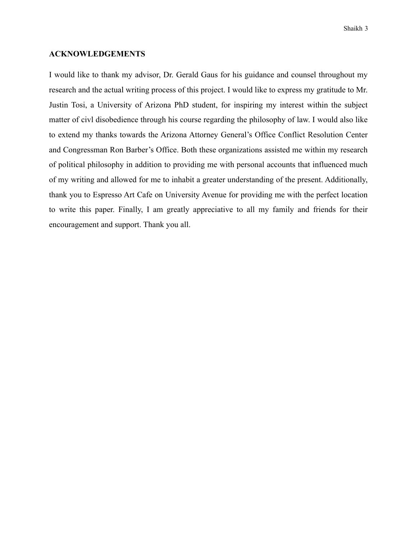#### **ACKNOWLEDGEMENTS**

I would like to thank my advisor, Dr. Gerald Gaus for his guidance and counsel throughout my research and the actual writing process of this project. I would like to express my gratitude to Mr. Justin Tosi, a University of Arizona PhD student, for inspiring my interest within the subject matter of civl disobedience through his course regarding the philosophy of law. I would also like to extend my thanks towards the Arizona Attorney General's Office Conflict Resolution Center and Congressman Ron Barber's Office. Both these organizations assisted me within my research of political philosophy in addition to providing me with personal accounts that influenced much of my writing and allowed for me to inhabit a greater understanding of the present. Additionally, thank you to Espresso Art Cafe on University Avenue for providing me with the perfect location to write this paper. Finally, I am greatly appreciative to all my family and friends for their encouragement and support. Thank you all.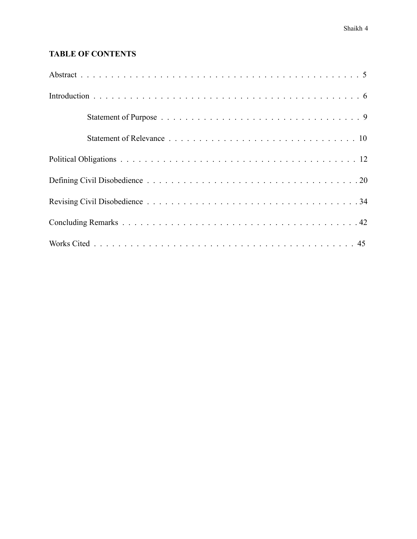# **TABLE OF CONTENTS**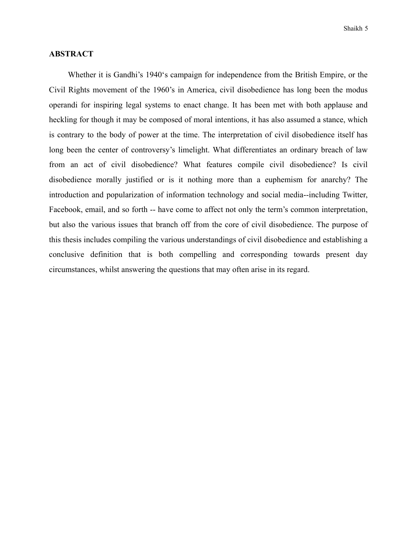## **ABSTRACT**

 Whether it is Gandhi's 1940's campaign for independence from the British Empire, or the Civil Rights movement of the 1960's in America, civil disobedience has long been the modus operandi for inspiring legal systems to enact change. It has been met with both applause and heckling for though it may be composed of moral intentions, it has also assumed a stance, which is contrary to the body of power at the time. The interpretation of civil disobedience itself has long been the center of controversy's limelight. What differentiates an ordinary breach of law from an act of civil disobedience? What features compile civil disobedience? Is civil disobedience morally justified or is it nothing more than a euphemism for anarchy? The introduction and popularization of information technology and social media--including Twitter, Facebook, email, and so forth -- have come to affect not only the term's common interpretation, but also the various issues that branch off from the core of civil disobedience. The purpose of this thesis includes compiling the various understandings of civil disobedience and establishing a conclusive definition that is both compelling and corresponding towards present day circumstances, whilst answering the questions that may often arise in its regard.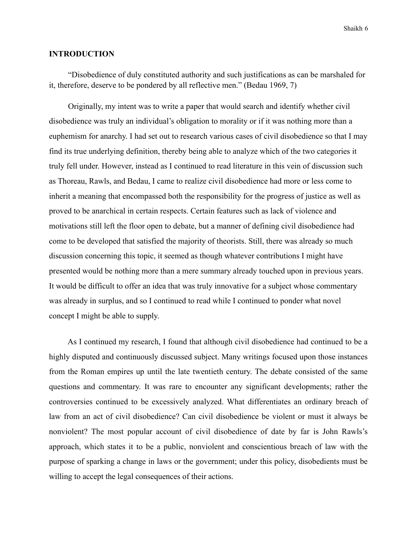Shaikh 6

## **INTRODUCTION**

 "Disobedience of duly constituted authority and such justifications as can be marshaled for it, therefore, deserve to be pondered by all reflective men." (Bedau 1969, 7)

 Originally, my intent was to write a paper that would search and identify whether civil disobedience was truly an individual's obligation to morality or if it was nothing more than a euphemism for anarchy. I had set out to research various cases of civil disobedience so that I may find its true underlying definition, thereby being able to analyze which of the two categories it truly fell under. However, instead as I continued to read literature in this vein of discussion such as Thoreau, Rawls, and Bedau, I came to realize civil disobedience had more or less come to inherit a meaning that encompassed both the responsibility for the progress of justice as well as proved to be anarchical in certain respects. Certain features such as lack of violence and motivations still left the floor open to debate, but a manner of defining civil disobedience had come to be developed that satisfied the majority of theorists. Still, there was already so much discussion concerning this topic, it seemed as though whatever contributions I might have presented would be nothing more than a mere summary already touched upon in previous years. It would be difficult to offer an idea that was truly innovative for a subject whose commentary was already in surplus, and so I continued to read while I continued to ponder what novel concept I might be able to supply.

 As I continued my research, I found that although civil disobedience had continued to be a highly disputed and continuously discussed subject. Many writings focused upon those instances from the Roman empires up until the late twentieth century. The debate consisted of the same questions and commentary. It was rare to encounter any significant developments; rather the controversies continued to be excessively analyzed. What differentiates an ordinary breach of law from an act of civil disobedience? Can civil disobedience be violent or must it always be nonviolent? The most popular account of civil disobedience of date by far is John Rawls's approach, which states it to be a public, nonviolent and conscientious breach of law with the purpose of sparking a change in laws or the government; under this policy, disobedients must be willing to accept the legal consequences of their actions.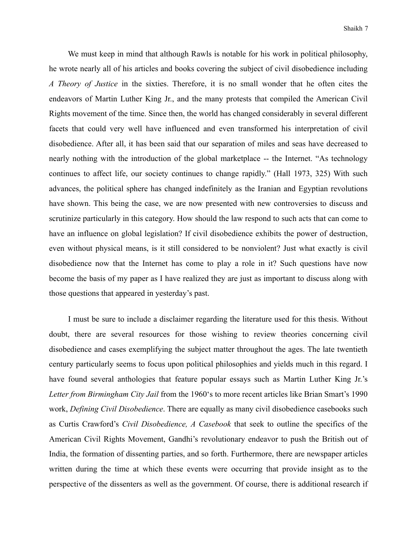We must keep in mind that although Rawls is notable for his work in political philosophy, he wrote nearly all of his articles and books covering the subject of civil disobedience including *A Theory of Justice* in the sixties. Therefore, it is no small wonder that he often cites the endeavors of Martin Luther King Jr., and the many protests that compiled the American Civil Rights movement of the time. Since then, the world has changed considerably in several different facets that could very well have influenced and even transformed his interpretation of civil disobedience. After all, it has been said that our separation of miles and seas have decreased to nearly nothing with the introduction of the global marketplace -- the Internet. "As technology continues to affect life, our society continues to change rapidly." (Hall 1973, 325) With such advances, the political sphere has changed indefinitely as the Iranian and Egyptian revolutions have shown. This being the case, we are now presented with new controversies to discuss and scrutinize particularly in this category. How should the law respond to such acts that can come to have an influence on global legislation? If civil disobedience exhibits the power of destruction, even without physical means, is it still considered to be nonviolent? Just what exactly is civil disobedience now that the Internet has come to play a role in it? Such questions have now become the basis of my paper as I have realized they are just as important to discuss along with those questions that appeared in yesterday's past.

 I must be sure to include a disclaimer regarding the literature used for this thesis. Without doubt, there are several resources for those wishing to review theories concerning civil disobedience and cases exemplifying the subject matter throughout the ages. The late twentieth century particularly seems to focus upon political philosophies and yields much in this regard. I have found several anthologies that feature popular essays such as Martin Luther King Jr.'s *Letter from Birmingham City Jail* from the 1960's to more recent articles like Brian Smart's 1990 work, *Defining Civil Disobedience*. There are equally as many civil disobedience casebooks such as Curtis Crawford's *Civil Disobedience, A Casebook* that seek to outline the specifics of the American Civil Rights Movement, Gandhi's revolutionary endeavor to push the British out of India, the formation of dissenting parties, and so forth. Furthermore, there are newspaper articles written during the time at which these events were occurring that provide insight as to the perspective of the dissenters as well as the government. Of course, there is additional research if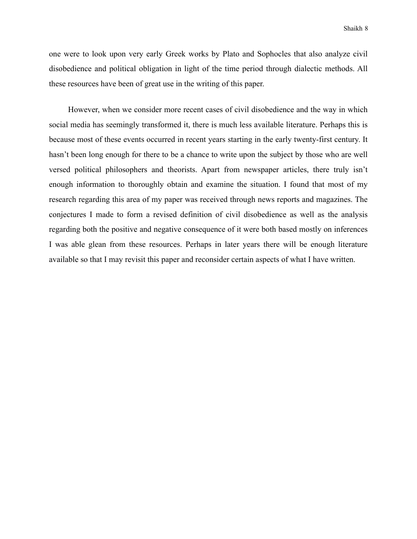one were to look upon very early Greek works by Plato and Sophocles that also analyze civil disobedience and political obligation in light of the time period through dialectic methods. All these resources have been of great use in the writing of this paper.

 However, when we consider more recent cases of civil disobedience and the way in which social media has seemingly transformed it, there is much less available literature. Perhaps this is because most of these events occurred in recent years starting in the early twenty-first century. It hasn't been long enough for there to be a chance to write upon the subject by those who are well versed political philosophers and theorists. Apart from newspaper articles, there truly isn't enough information to thoroughly obtain and examine the situation. I found that most of my research regarding this area of my paper was received through news reports and magazines. The conjectures I made to form a revised definition of civil disobedience as well as the analysis regarding both the positive and negative consequence of it were both based mostly on inferences I was able glean from these resources. Perhaps in later years there will be enough literature available so that I may revisit this paper and reconsider certain aspects of what I have written.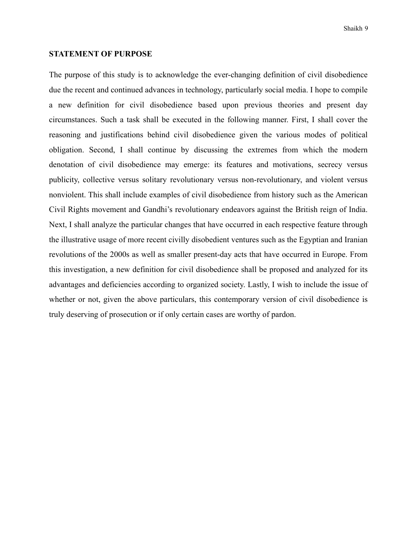#### **STATEMENT OF PURPOSE**

The purpose of this study is to acknowledge the ever-changing definition of civil disobedience due the recent and continued advances in technology, particularly social media. I hope to compile a new definition for civil disobedience based upon previous theories and present day circumstances. Such a task shall be executed in the following manner. First, I shall cover the reasoning and justifications behind civil disobedience given the various modes of political obligation. Second, I shall continue by discussing the extremes from which the modern denotation of civil disobedience may emerge: its features and motivations, secrecy versus publicity, collective versus solitary revolutionary versus non-revolutionary, and violent versus nonviolent. This shall include examples of civil disobedience from history such as the American Civil Rights movement and Gandhi's revolutionary endeavors against the British reign of India. Next, I shall analyze the particular changes that have occurred in each respective feature through the illustrative usage of more recent civilly disobedient ventures such as the Egyptian and Iranian revolutions of the 2000s as well as smaller present-day acts that have occurred in Europe. From this investigation, a new definition for civil disobedience shall be proposed and analyzed for its advantages and deficiencies according to organized society. Lastly, I wish to include the issue of whether or not, given the above particulars, this contemporary version of civil disobedience is truly deserving of prosecution or if only certain cases are worthy of pardon.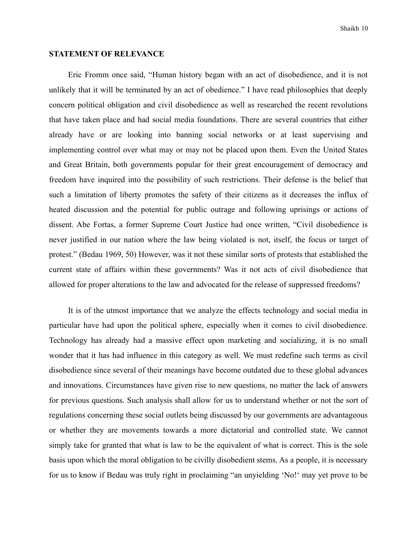#### **STATEMENT OF RELEVANCE**

 Eric Fromm once said, "Human history began with an act of disobedience, and it is not unlikely that it will be terminated by an act of obedience." I have read philosophies that deeply concern political obligation and civil disobedience as well as researched the recent revolutions that have taken place and had social media foundations. There are several countries that either already have or are looking into banning social networks or at least supervising and implementing control over what may or may not be placed upon them. Even the United States and Great Britain, both governments popular for their great encouragement of democracy and freedom have inquired into the possibility of such restrictions. Their defense is the belief that such a limitation of liberty promotes the safety of their citizens as it decreases the influx of heated discussion and the potential for public outrage and following uprisings or actions of dissent. Abe Fortas, a former Supreme Court Justice had once written, "Civil disobedience is never justified in our nation where the law being violated is not, itself, the focus or target of protest." (Bedau 1969, 50) However, was it not these similar sorts of protests that established the current state of affairs within these governments? Was it not acts of civil disobedience that allowed for proper alterations to the law and advocated for the release of suppressed freedoms?

 It is of the utmost importance that we analyze the effects technology and social media in particular have had upon the political sphere, especially when it comes to civil disobedience. Technology has already had a massive effect upon marketing and socializing, it is no small wonder that it has had influence in this category as well. We must redefine such terms as civil disobedience since several of their meanings have become outdated due to these global advances and innovations. Circumstances have given rise to new questions, no matter the lack of answers for previous questions. Such analysis shall allow for us to understand whether or not the sort of regulations concerning these social outlets being discussed by our governments are advantageous or whether they are movements towards a more dictatorial and controlled state. We cannot simply take for granted that what is law to be the equivalent of what is correct. This is the sole basis upon which the moral obligation to be civilly disobedient stems. As a people, it is necessary for us to know if Bedau was truly right in proclaiming "an unyielding 'No!' may yet prove to be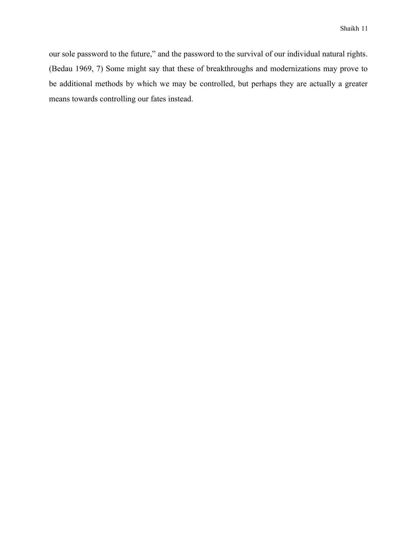our sole password to the future," and the password to the survival of our individual natural rights. (Bedau 1969, 7) Some might say that these of breakthroughs and modernizations may prove to be additional methods by which we may be controlled, but perhaps they are actually a greater means towards controlling our fates instead.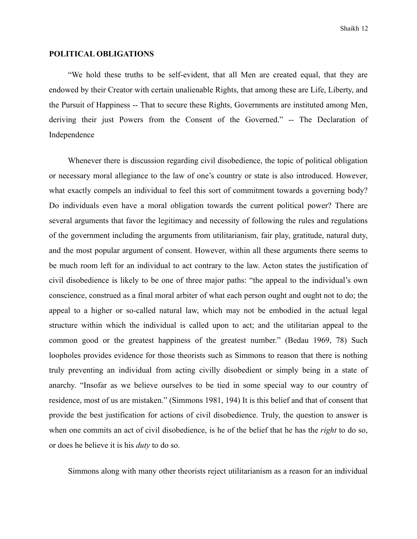#### **POLITICAL OBLIGATIONS**

 "We hold these truths to be self-evident, that all Men are created equal, that they are endowed by their Creator with certain unalienable Rights, that among these are Life, Liberty, and the Pursuit of Happiness -- That to secure these Rights, Governments are instituted among Men, deriving their just Powers from the Consent of the Governed." -- The Declaration of Independence

 Whenever there is discussion regarding civil disobedience, the topic of political obligation or necessary moral allegiance to the law of one's country or state is also introduced. However, what exactly compels an individual to feel this sort of commitment towards a governing body? Do individuals even have a moral obligation towards the current political power? There are several arguments that favor the legitimacy and necessity of following the rules and regulations of the government including the arguments from utilitarianism, fair play, gratitude, natural duty, and the most popular argument of consent. However, within all these arguments there seems to be much room left for an individual to act contrary to the law. Acton states the justification of civil disobedience is likely to be one of three major paths: "the appeal to the individual's own conscience, construed as a final moral arbiter of what each person ought and ought not to do; the appeal to a higher or so-called natural law, which may not be embodied in the actual legal structure within which the individual is called upon to act; and the utilitarian appeal to the common good or the greatest happiness of the greatest number." (Bedau 1969, 78) Such loopholes provides evidence for those theorists such as Simmons to reason that there is nothing truly preventing an individual from acting civilly disobedient or simply being in a state of anarchy. "Insofar as we believe ourselves to be tied in some special way to our country of residence, most of us are mistaken." (Simmons 1981, 194) It is this belief and that of consent that provide the best justification for actions of civil disobedience. Truly, the question to answer is when one commits an act of civil disobedience, is he of the belief that he has the *right* to do so, or does he believe it is his *duty* to do so.

Simmons along with many other theorists reject utilitarianism as a reason for an individual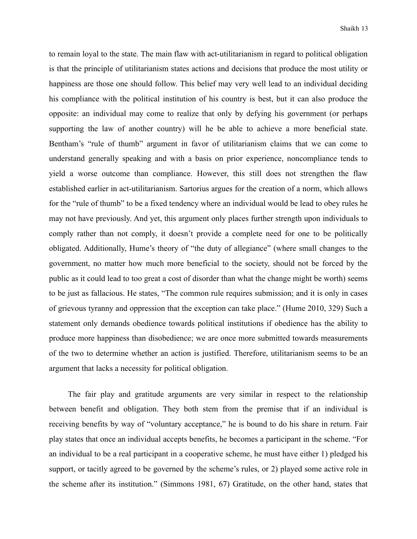to remain loyal to the state. The main flaw with act-utilitarianism in regard to political obligation is that the principle of utilitarianism states actions and decisions that produce the most utility or happiness are those one should follow. This belief may very well lead to an individual deciding his compliance with the political institution of his country is best, but it can also produce the opposite: an individual may come to realize that only by defying his government (or perhaps supporting the law of another country) will he be able to achieve a more beneficial state. Bentham's "rule of thumb" argument in favor of utilitarianism claims that we can come to understand generally speaking and with a basis on prior experience, noncompliance tends to yield a worse outcome than compliance. However, this still does not strengthen the flaw established earlier in act-utilitarianism. Sartorius argues for the creation of a norm, which allows for the "rule of thumb" to be a fixed tendency where an individual would be lead to obey rules he may not have previously. And yet, this argument only places further strength upon individuals to comply rather than not comply, it doesn't provide a complete need for one to be politically obligated. Additionally, Hume's theory of "the duty of allegiance" (where small changes to the government, no matter how much more beneficial to the society, should not be forced by the public as it could lead to too great a cost of disorder than what the change might be worth) seems to be just as fallacious. He states, "The common rule requires submission; and it is only in cases of grievous tyranny and oppression that the exception can take place." (Hume 2010, 329) Such a statement only demands obedience towards political institutions if obedience has the ability to produce more happiness than disobedience; we are once more submitted towards measurements of the two to determine whether an action is justified. Therefore, utilitarianism seems to be an argument that lacks a necessity for political obligation.

 The fair play and gratitude arguments are very similar in respect to the relationship between benefit and obligation. They both stem from the premise that if an individual is receiving benefits by way of "voluntary acceptance," he is bound to do his share in return. Fair play states that once an individual accepts benefits, he becomes a participant in the scheme. "For an individual to be a real participant in a cooperative scheme, he must have either 1) pledged his support, or tacitly agreed to be governed by the scheme's rules, or 2) played some active role in the scheme after its institution." (Simmons 1981, 67) Gratitude, on the other hand, states that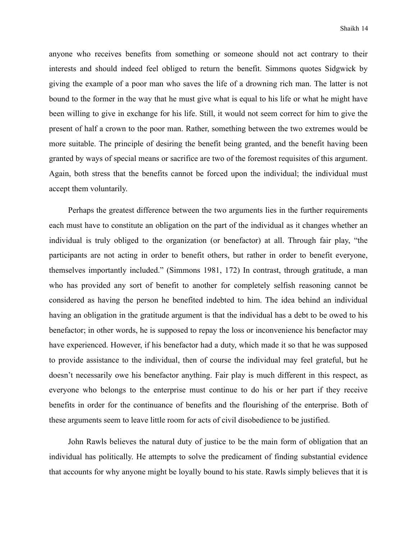anyone who receives benefits from something or someone should not act contrary to their interests and should indeed feel obliged to return the benefit. Simmons quotes Sidgwick by giving the example of a poor man who saves the life of a drowning rich man. The latter is not bound to the former in the way that he must give what is equal to his life or what he might have been willing to give in exchange for his life. Still, it would not seem correct for him to give the present of half a crown to the poor man. Rather, something between the two extremes would be more suitable. The principle of desiring the benefit being granted, and the benefit having been granted by ways of special means or sacrifice are two of the foremost requisites of this argument. Again, both stress that the benefits cannot be forced upon the individual; the individual must accept them voluntarily.

 Perhaps the greatest difference between the two arguments lies in the further requirements each must have to constitute an obligation on the part of the individual as it changes whether an individual is truly obliged to the organization (or benefactor) at all. Through fair play, "the participants are not acting in order to benefit others, but rather in order to benefit everyone, themselves importantly included." (Simmons 1981, 172) In contrast, through gratitude, a man who has provided any sort of benefit to another for completely selfish reasoning cannot be considered as having the person he benefited indebted to him. The idea behind an individual having an obligation in the gratitude argument is that the individual has a debt to be owed to his benefactor; in other words, he is supposed to repay the loss or inconvenience his benefactor may have experienced. However, if his benefactor had a duty, which made it so that he was supposed to provide assistance to the individual, then of course the individual may feel grateful, but he doesn't necessarily owe his benefactor anything. Fair play is much different in this respect, as everyone who belongs to the enterprise must continue to do his or her part if they receive benefits in order for the continuance of benefits and the flourishing of the enterprise. Both of these arguments seem to leave little room for acts of civil disobedience to be justified.

 John Rawls believes the natural duty of justice to be the main form of obligation that an individual has politically. He attempts to solve the predicament of finding substantial evidence that accounts for why anyone might be loyally bound to his state. Rawls simply believes that it is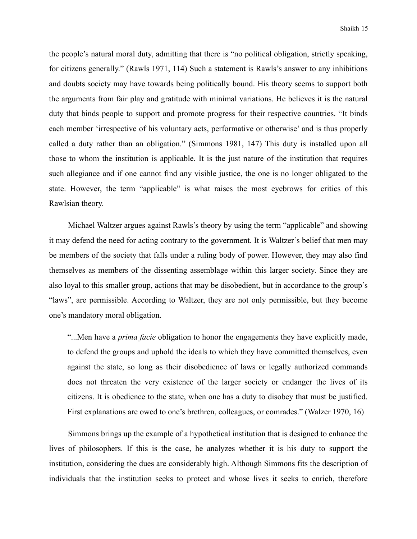the people's natural moral duty, admitting that there is "no political obligation, strictly speaking, for citizens generally." (Rawls 1971, 114) Such a statement is Rawls's answer to any inhibitions and doubts society may have towards being politically bound. His theory seems to support both the arguments from fair play and gratitude with minimal variations. He believes it is the natural duty that binds people to support and promote progress for their respective countries. "It binds each member 'irrespective of his voluntary acts, performative or otherwise' and is thus properly called a duty rather than an obligation." (Simmons 1981, 147) This duty is installed upon all those to whom the institution is applicable. It is the just nature of the institution that requires such allegiance and if one cannot find any visible justice, the one is no longer obligated to the state. However, the term "applicable" is what raises the most eyebrows for critics of this Rawlsian theory.

 Michael Waltzer argues against Rawls's theory by using the term "applicable" and showing it may defend the need for acting contrary to the government. It is Waltzer's belief that men may be members of the society that falls under a ruling body of power. However, they may also find themselves as members of the dissenting assemblage within this larger society. Since they are also loyal to this smaller group, actions that may be disobedient, but in accordance to the group's "laws", are permissible. According to Waltzer, they are not only permissible, but they become one's mandatory moral obligation.

"...Men have a *prima facie* obligation to honor the engagements they have explicitly made, to defend the groups and uphold the ideals to which they have committed themselves, even against the state, so long as their disobedience of laws or legally authorized commands does not threaten the very existence of the larger society or endanger the lives of its citizens. It is obedience to the state, when one has a duty to disobey that must be justified. First explanations are owed to one's brethren, colleagues, or comrades." (Walzer 1970, 16)

 Simmons brings up the example of a hypothetical institution that is designed to enhance the lives of philosophers. If this is the case, he analyzes whether it is his duty to support the institution, considering the dues are considerably high. Although Simmons fits the description of individuals that the institution seeks to protect and whose lives it seeks to enrich, therefore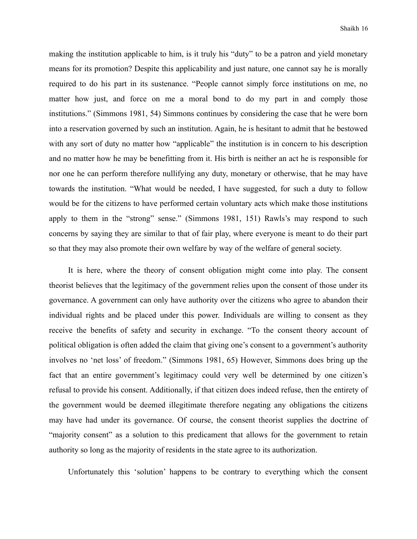making the institution applicable to him, is it truly his "duty" to be a patron and yield monetary means for its promotion? Despite this applicability and just nature, one cannot say he is morally required to do his part in its sustenance. "People cannot simply force institutions on me, no matter how just, and force on me a moral bond to do my part in and comply those institutions." (Simmons 1981, 54) Simmons continues by considering the case that he were born into a reservation governed by such an institution. Again, he is hesitant to admit that he bestowed with any sort of duty no matter how "applicable" the institution is in concern to his description and no matter how he may be benefitting from it. His birth is neither an act he is responsible for nor one he can perform therefore nullifying any duty, monetary or otherwise, that he may have towards the institution. "What would be needed, I have suggested, for such a duty to follow would be for the citizens to have performed certain voluntary acts which make those institutions apply to them in the "strong" sense." (Simmons 1981, 151) Rawls's may respond to such concerns by saying they are similar to that of fair play, where everyone is meant to do their part so that they may also promote their own welfare by way of the welfare of general society.

 It is here, where the theory of consent obligation might come into play. The consent theorist believes that the legitimacy of the government relies upon the consent of those under its governance. A government can only have authority over the citizens who agree to abandon their individual rights and be placed under this power. Individuals are willing to consent as they receive the benefits of safety and security in exchange. "To the consent theory account of political obligation is often added the claim that giving one's consent to a government's authority involves no 'net loss' of freedom." (Simmons 1981, 65) However, Simmons does bring up the fact that an entire government's legitimacy could very well be determined by one citizen's refusal to provide his consent. Additionally, if that citizen does indeed refuse, then the entirety of the government would be deemed illegitimate therefore negating any obligations the citizens may have had under its governance. Of course, the consent theorist supplies the doctrine of "majority consent" as a solution to this predicament that allows for the government to retain authority so long as the majority of residents in the state agree to its authorization.

Unfortunately this 'solution' happens to be contrary to everything which the consent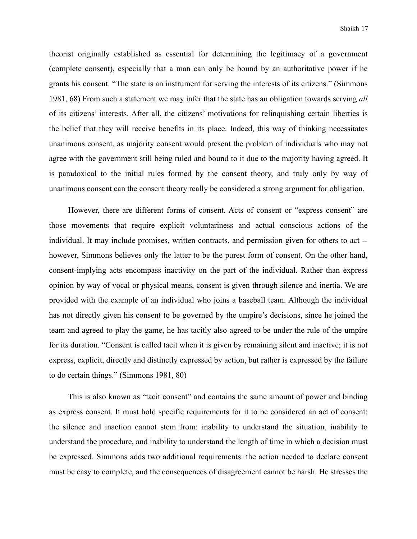theorist originally established as essential for determining the legitimacy of a government (complete consent), especially that a man can only be bound by an authoritative power if he grants his consent. "The state is an instrument for serving the interests of its citizens." (Simmons 1981, 68) From such a statement we may infer that the state has an obligation towards serving *all*  of its citizens' interests. After all, the citizens' motivations for relinquishing certain liberties is the belief that they will receive benefits in its place. Indeed, this way of thinking necessitates unanimous consent, as majority consent would present the problem of individuals who may not agree with the government still being ruled and bound to it due to the majority having agreed. It is paradoxical to the initial rules formed by the consent theory, and truly only by way of unanimous consent can the consent theory really be considered a strong argument for obligation.

 However, there are different forms of consent. Acts of consent or "express consent" are those movements that require explicit voluntariness and actual conscious actions of the individual. It may include promises, written contracts, and permission given for others to act - however, Simmons believes only the latter to be the purest form of consent. On the other hand, consent-implying acts encompass inactivity on the part of the individual. Rather than express opinion by way of vocal or physical means, consent is given through silence and inertia. We are provided with the example of an individual who joins a baseball team. Although the individual has not directly given his consent to be governed by the umpire's decisions, since he joined the team and agreed to play the game, he has tacitly also agreed to be under the rule of the umpire for its duration. "Consent is called tacit when it is given by remaining silent and inactive; it is not express, explicit, directly and distinctly expressed by action, but rather is expressed by the failure to do certain things." (Simmons 1981, 80)

 This is also known as "tacit consent" and contains the same amount of power and binding as express consent. It must hold specific requirements for it to be considered an act of consent; the silence and inaction cannot stem from: inability to understand the situation, inability to understand the procedure, and inability to understand the length of time in which a decision must be expressed. Simmons adds two additional requirements: the action needed to declare consent must be easy to complete, and the consequences of disagreement cannot be harsh. He stresses the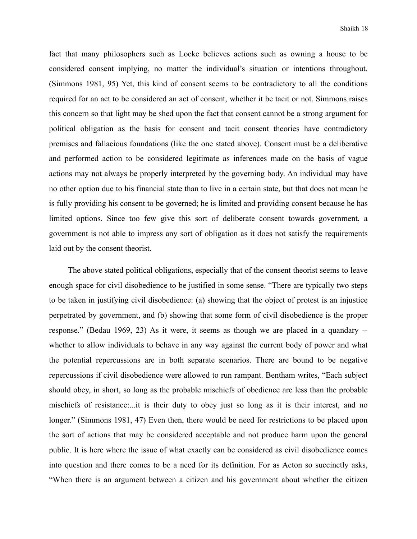fact that many philosophers such as Locke believes actions such as owning a house to be considered consent implying, no matter the individual's situation or intentions throughout. (Simmons 1981, 95) Yet, this kind of consent seems to be contradictory to all the conditions required for an act to be considered an act of consent, whether it be tacit or not. Simmons raises this concern so that light may be shed upon the fact that consent cannot be a strong argument for political obligation as the basis for consent and tacit consent theories have contradictory premises and fallacious foundations (like the one stated above). Consent must be a deliberative and performed action to be considered legitimate as inferences made on the basis of vague actions may not always be properly interpreted by the governing body. An individual may have no other option due to his financial state than to live in a certain state, but that does not mean he is fully providing his consent to be governed; he is limited and providing consent because he has limited options. Since too few give this sort of deliberate consent towards government, a government is not able to impress any sort of obligation as it does not satisfy the requirements laid out by the consent theorist.

 The above stated political obligations, especially that of the consent theorist seems to leave enough space for civil disobedience to be justified in some sense. "There are typically two steps to be taken in justifying civil disobedience: (a) showing that the object of protest is an injustice perpetrated by government, and (b) showing that some form of civil disobedience is the proper response." (Bedau 1969, 23) As it were, it seems as though we are placed in a quandary - whether to allow individuals to behave in any way against the current body of power and what the potential repercussions are in both separate scenarios. There are bound to be negative repercussions if civil disobedience were allowed to run rampant. Bentham writes, "Each subject should obey, in short, so long as the probable mischiefs of obedience are less than the probable mischiefs of resistance:...it is their duty to obey just so long as it is their interest, and no longer." (Simmons 1981, 47) Even then, there would be need for restrictions to be placed upon the sort of actions that may be considered acceptable and not produce harm upon the general public. It is here where the issue of what exactly can be considered as civil disobedience comes into question and there comes to be a need for its definition. For as Acton so succinctly asks, "When there is an argument between a citizen and his government about whether the citizen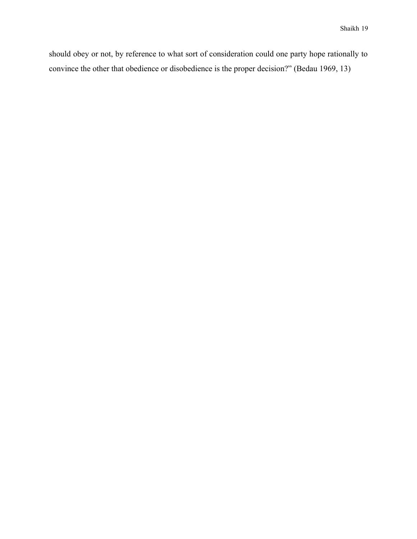should obey or not, by reference to what sort of consideration could one party hope rationally to convince the other that obedience or disobedience is the proper decision?" (Bedau 1969, 13)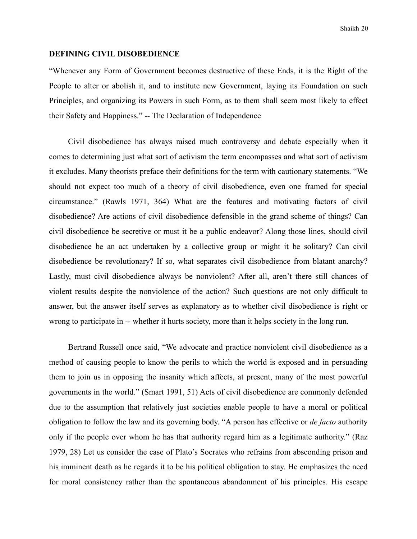#### **DEFINING CIVIL DISOBEDIENCE**

"Whenever any Form of Government becomes destructive of these Ends, it is the Right of the People to alter or abolish it, and to institute new Government, laying its Foundation on such Principles, and organizing its Powers in such Form, as to them shall seem most likely to effect their Safety and Happiness." -- The Declaration of Independence

 Civil disobedience has always raised much controversy and debate especially when it comes to determining just what sort of activism the term encompasses and what sort of activism it excludes. Many theorists preface their definitions for the term with cautionary statements. "We should not expect too much of a theory of civil disobedience, even one framed for special circumstance." (Rawls 1971, 364) What are the features and motivating factors of civil disobedience? Are actions of civil disobedience defensible in the grand scheme of things? Can civil disobedience be secretive or must it be a public endeavor? Along those lines, should civil disobedience be an act undertaken by a collective group or might it be solitary? Can civil disobedience be revolutionary? If so, what separates civil disobedience from blatant anarchy? Lastly, must civil disobedience always be nonviolent? After all, aren't there still chances of violent results despite the nonviolence of the action? Such questions are not only difficult to answer, but the answer itself serves as explanatory as to whether civil disobedience is right or wrong to participate in -- whether it hurts society, more than it helps society in the long run.

 Bertrand Russell once said, "We advocate and practice nonviolent civil disobedience as a method of causing people to know the perils to which the world is exposed and in persuading them to join us in opposing the insanity which affects, at present, many of the most powerful governments in the world." (Smart 1991, 51) Acts of civil disobedience are commonly defended due to the assumption that relatively just societies enable people to have a moral or political obligation to follow the law and its governing body. "A person has effective or *de facto* authority only if the people over whom he has that authority regard him as a legitimate authority." (Raz 1979, 28) Let us consider the case of Plato's Socrates who refrains from absconding prison and his imminent death as he regards it to be his political obligation to stay. He emphasizes the need for moral consistency rather than the spontaneous abandonment of his principles. His escape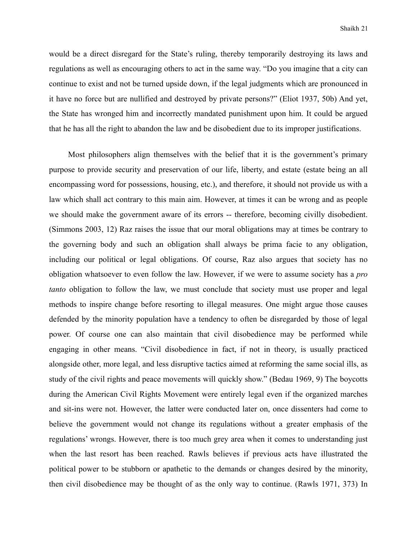would be a direct disregard for the State's ruling, thereby temporarily destroying its laws and regulations as well as encouraging others to act in the same way. "Do you imagine that a city can continue to exist and not be turned upside down, if the legal judgments which are pronounced in it have no force but are nullified and destroyed by private persons?" (Eliot 1937, 50b) And yet, the State has wronged him and incorrectly mandated punishment upon him. It could be argued that he has all the right to abandon the law and be disobedient due to its improper justifications.

 Most philosophers align themselves with the belief that it is the government's primary purpose to provide security and preservation of our life, liberty, and estate (estate being an all encompassing word for possessions, housing, etc.), and therefore, it should not provide us with a law which shall act contrary to this main aim. However, at times it can be wrong and as people we should make the government aware of its errors -- therefore, becoming civilly disobedient. (Simmons 2003, 12) Raz raises the issue that our moral obligations may at times be contrary to the governing body and such an obligation shall always be prima facie to any obligation, including our political or legal obligations. Of course, Raz also argues that society has no obligation whatsoever to even follow the law. However, if we were to assume society has a *pro tanto* obligation to follow the law, we must conclude that society must use proper and legal methods to inspire change before resorting to illegal measures. One might argue those causes defended by the minority population have a tendency to often be disregarded by those of legal power. Of course one can also maintain that civil disobedience may be performed while engaging in other means. "Civil disobedience in fact, if not in theory, is usually practiced alongside other, more legal, and less disruptive tactics aimed at reforming the same social ills, as study of the civil rights and peace movements will quickly show." (Bedau 1969, 9) The boycotts during the American Civil Rights Movement were entirely legal even if the organized marches and sit-ins were not. However, the latter were conducted later on, once dissenters had come to believe the government would not change its regulations without a greater emphasis of the regulations' wrongs. However, there is too much grey area when it comes to understanding just when the last resort has been reached. Rawls believes if previous acts have illustrated the political power to be stubborn or apathetic to the demands or changes desired by the minority, then civil disobedience may be thought of as the only way to continue. (Rawls 1971, 373) In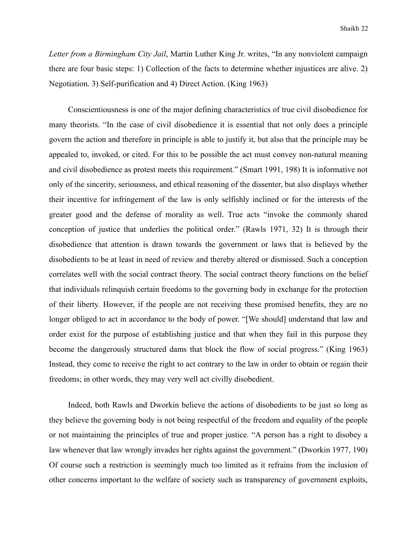*Letter from a Birmingham City Jail*, Martin Luther King Jr. writes, "In any nonviolent campaign there are four basic steps: 1) Collection of the facts to determine whether injustices are alive. 2) Negotiation. 3) Self-purification and 4) Direct Action. (King 1963)

 Conscientiousness is one of the major defining characteristics of true civil disobedience for many theorists. "In the case of civil disobedience it is essential that not only does a principle govern the action and therefore in principle is able to justify it, but also that the principle may be appealed to, invoked, or cited. For this to be possible the act must convey non-natural meaning and civil disobedience as protest meets this requirement." (Smart 1991, 198) It is informative not only of the sincerity, seriousness, and ethical reasoning of the dissenter, but also displays whether their incentive for infringement of the law is only selfishly inclined or for the interests of the greater good and the defense of morality as well. True acts "invoke the commonly shared conception of justice that underlies the political order." (Rawls 1971, 32) It is through their disobedience that attention is drawn towards the government or laws that is believed by the disobedients to be at least in need of review and thereby altered or dismissed. Such a conception correlates well with the social contract theory. The social contract theory functions on the belief that individuals relinquish certain freedoms to the governing body in exchange for the protection of their liberty. However, if the people are not receiving these promised benefits, they are no longer obliged to act in accordance to the body of power. "[We should] understand that law and order exist for the purpose of establishing justice and that when they fail in this purpose they become the dangerously structured dams that block the flow of social progress." (King 1963) Instead, they come to receive the right to act contrary to the law in order to obtain or regain their freedoms; in other words, they may very well act civilly disobedient.

 Indeed, both Rawls and Dworkin believe the actions of disobedients to be just so long as they believe the governing body is not being respectful of the freedom and equality of the people or not maintaining the principles of true and proper justice. "A person has a right to disobey a law whenever that law wrongly invades her rights against the government." (Dworkin 1977, 190) Of course such a restriction is seemingly much too limited as it refrains from the inclusion of other concerns important to the welfare of society such as transparency of government exploits,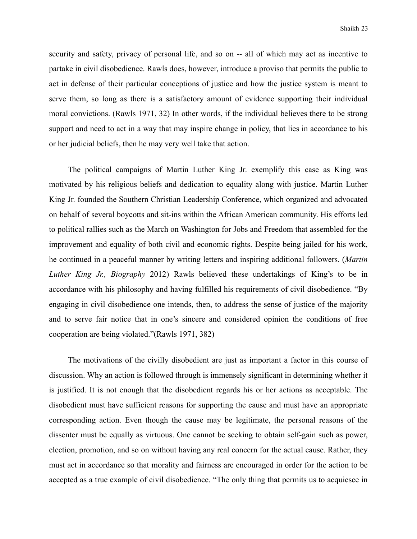security and safety, privacy of personal life, and so on -- all of which may act as incentive to partake in civil disobedience. Rawls does, however, introduce a proviso that permits the public to act in defense of their particular conceptions of justice and how the justice system is meant to serve them, so long as there is a satisfactory amount of evidence supporting their individual moral convictions. (Rawls 1971, 32) In other words, if the individual believes there to be strong support and need to act in a way that may inspire change in policy, that lies in accordance to his or her judicial beliefs, then he may very well take that action.

 The political campaigns of Martin Luther King Jr. exemplify this case as King was motivated by his religious beliefs and dedication to equality along with justice. Martin Luther King Jr. founded the Southern Christian Leadership Conference, which organized and advocated on behalf of several boycotts and sit-ins within the African American community. His efforts led to political rallies such as the March on Washington for Jobs and Freedom that assembled for the improvement and equality of both civil and economic rights. Despite being jailed for his work, he continued in a peaceful manner by writing letters and inspiring additional followers. (*Martin Luther King Jr., Biography* 2012) Rawls believed these undertakings of King's to be in accordance with his philosophy and having fulfilled his requirements of civil disobedience. "By engaging in civil disobedience one intends, then, to address the sense of justice of the majority and to serve fair notice that in one's sincere and considered opinion the conditions of free cooperation are being violated."(Rawls 1971, 382)

 The motivations of the civilly disobedient are just as important a factor in this course of discussion. Why an action is followed through is immensely significant in determining whether it is justified. It is not enough that the disobedient regards his or her actions as acceptable. The disobedient must have sufficient reasons for supporting the cause and must have an appropriate corresponding action. Even though the cause may be legitimate, the personal reasons of the dissenter must be equally as virtuous. One cannot be seeking to obtain self-gain such as power, election, promotion, and so on without having any real concern for the actual cause. Rather, they must act in accordance so that morality and fairness are encouraged in order for the action to be accepted as a true example of civil disobedience. "The only thing that permits us to acquiesce in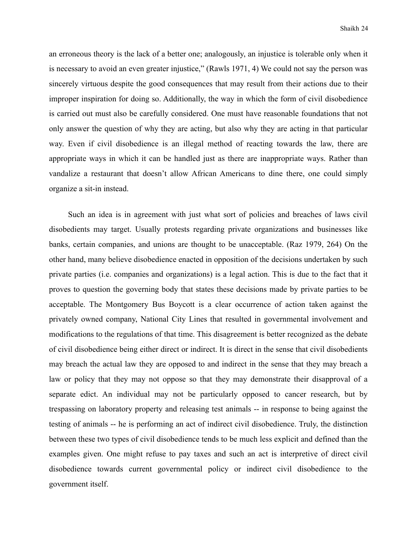an erroneous theory is the lack of a better one; analogously, an injustice is tolerable only when it is necessary to avoid an even greater injustice," (Rawls 1971, 4) We could not say the person was sincerely virtuous despite the good consequences that may result from their actions due to their improper inspiration for doing so. Additionally, the way in which the form of civil disobedience is carried out must also be carefully considered. One must have reasonable foundations that not only answer the question of why they are acting, but also why they are acting in that particular way. Even if civil disobedience is an illegal method of reacting towards the law, there are appropriate ways in which it can be handled just as there are inappropriate ways. Rather than vandalize a restaurant that doesn't allow African Americans to dine there, one could simply organize a sit-in instead.

 Such an idea is in agreement with just what sort of policies and breaches of laws civil disobedients may target. Usually protests regarding private organizations and businesses like banks, certain companies, and unions are thought to be unacceptable. (Raz 1979, 264) On the other hand, many believe disobedience enacted in opposition of the decisions undertaken by such private parties (i.e. companies and organizations) is a legal action. This is due to the fact that it proves to question the governing body that states these decisions made by private parties to be acceptable. The Montgomery Bus Boycott is a clear occurrence of action taken against the privately owned company, National City Lines that resulted in governmental involvement and modifications to the regulations of that time. This disagreement is better recognized as the debate of civil disobedience being either direct or indirect. It is direct in the sense that civil disobedients may breach the actual law they are opposed to and indirect in the sense that they may breach a law or policy that they may not oppose so that they may demonstrate their disapproval of a separate edict. An individual may not be particularly opposed to cancer research, but by trespassing on laboratory property and releasing test animals -- in response to being against the testing of animals -- he is performing an act of indirect civil disobedience. Truly, the distinction between these two types of civil disobedience tends to be much less explicit and defined than the examples given. One might refuse to pay taxes and such an act is interpretive of direct civil disobedience towards current governmental policy or indirect civil disobedience to the government itself.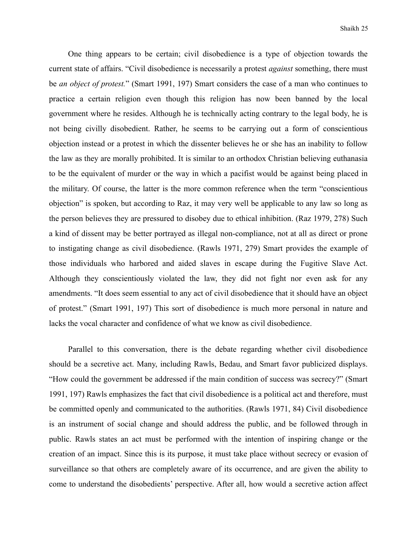One thing appears to be certain; civil disobedience is a type of objection towards the current state of affairs. "Civil disobedience is necessarily a protest *against* something, there must be *an object of protest.*" (Smart 1991, 197) Smart considers the case of a man who continues to practice a certain religion even though this religion has now been banned by the local government where he resides. Although he is technically acting contrary to the legal body, he is not being civilly disobedient. Rather, he seems to be carrying out a form of conscientious objection instead or a protest in which the dissenter believes he or she has an inability to follow the law as they are morally prohibited. It is similar to an orthodox Christian believing euthanasia to be the equivalent of murder or the way in which a pacifist would be against being placed in the military. Of course, the latter is the more common reference when the term "conscientious objection" is spoken, but according to Raz, it may very well be applicable to any law so long as the person believes they are pressured to disobey due to ethical inhibition. (Raz 1979, 278) Such a kind of dissent may be better portrayed as illegal non-compliance, not at all as direct or prone to instigating change as civil disobedience. (Rawls 1971, 279) Smart provides the example of those individuals who harbored and aided slaves in escape during the Fugitive Slave Act. Although they conscientiously violated the law, they did not fight nor even ask for any amendments. "It does seem essential to any act of civil disobedience that it should have an object of protest." (Smart 1991, 197) This sort of disobedience is much more personal in nature and lacks the vocal character and confidence of what we know as civil disobedience.

 Parallel to this conversation, there is the debate regarding whether civil disobedience should be a secretive act. Many, including Rawls, Bedau, and Smart favor publicized displays. "How could the government be addressed if the main condition of success was secrecy?" (Smart 1991, 197) Rawls emphasizes the fact that civil disobedience is a political act and therefore, must be committed openly and communicated to the authorities. (Rawls 1971, 84) Civil disobedience is an instrument of social change and should address the public, and be followed through in public. Rawls states an act must be performed with the intention of inspiring change or the creation of an impact. Since this is its purpose, it must take place without secrecy or evasion of surveillance so that others are completely aware of its occurrence, and are given the ability to come to understand the disobedients' perspective. After all, how would a secretive action affect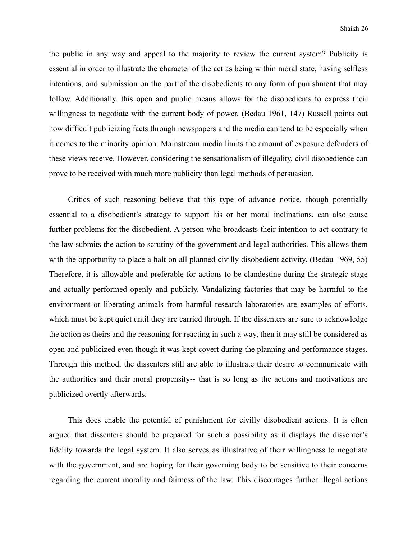the public in any way and appeal to the majority to review the current system? Publicity is essential in order to illustrate the character of the act as being within moral state, having selfless intentions, and submission on the part of the disobedients to any form of punishment that may follow. Additionally, this open and public means allows for the disobedients to express their willingness to negotiate with the current body of power. (Bedau 1961, 147) Russell points out how difficult publicizing facts through newspapers and the media can tend to be especially when it comes to the minority opinion. Mainstream media limits the amount of exposure defenders of these views receive. However, considering the sensationalism of illegality, civil disobedience can prove to be received with much more publicity than legal methods of persuasion.

 Critics of such reasoning believe that this type of advance notice, though potentially essential to a disobedient's strategy to support his or her moral inclinations, can also cause further problems for the disobedient. A person who broadcasts their intention to act contrary to the law submits the action to scrutiny of the government and legal authorities. This allows them with the opportunity to place a halt on all planned civilly disobedient activity. (Bedau 1969, 55) Therefore, it is allowable and preferable for actions to be clandestine during the strategic stage and actually performed openly and publicly. Vandalizing factories that may be harmful to the environment or liberating animals from harmful research laboratories are examples of efforts, which must be kept quiet until they are carried through. If the dissenters are sure to acknowledge the action as theirs and the reasoning for reacting in such a way, then it may still be considered as open and publicized even though it was kept covert during the planning and performance stages. Through this method, the dissenters still are able to illustrate their desire to communicate with the authorities and their moral propensity-- that is so long as the actions and motivations are publicized overtly afterwards.

 This does enable the potential of punishment for civilly disobedient actions. It is often argued that dissenters should be prepared for such a possibility as it displays the dissenter's fidelity towards the legal system. It also serves as illustrative of their willingness to negotiate with the government, and are hoping for their governing body to be sensitive to their concerns regarding the current morality and fairness of the law. This discourages further illegal actions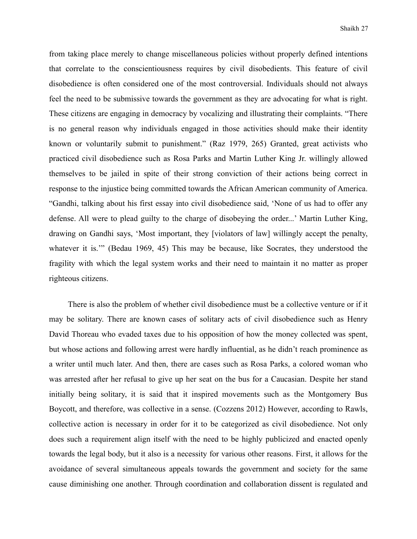from taking place merely to change miscellaneous policies without properly defined intentions that correlate to the conscientiousness requires by civil disobedients. This feature of civil disobedience is often considered one of the most controversial. Individuals should not always feel the need to be submissive towards the government as they are advocating for what is right. These citizens are engaging in democracy by vocalizing and illustrating their complaints. "There is no general reason why individuals engaged in those activities should make their identity known or voluntarily submit to punishment." (Raz 1979, 265) Granted, great activists who practiced civil disobedience such as Rosa Parks and Martin Luther King Jr. willingly allowed themselves to be jailed in spite of their strong conviction of their actions being correct in response to the injustice being committed towards the African American community of America. "Gandhi, talking about his first essay into civil disobedience said, 'None of us had to offer any defense. All were to plead guilty to the charge of disobeying the order...' Martin Luther King, drawing on Gandhi says, 'Most important, they [violators of law] willingly accept the penalty, whatever it is.'" (Bedau 1969, 45) This may be because, like Socrates, they understood the fragility with which the legal system works and their need to maintain it no matter as proper righteous citizens.

 There is also the problem of whether civil disobedience must be a collective venture or if it may be solitary. There are known cases of solitary acts of civil disobedience such as Henry David Thoreau who evaded taxes due to his opposition of how the money collected was spent, but whose actions and following arrest were hardly influential, as he didn't reach prominence as a writer until much later. And then, there are cases such as Rosa Parks, a colored woman who was arrested after her refusal to give up her seat on the bus for a Caucasian. Despite her stand initially being solitary, it is said that it inspired movements such as the Montgomery Bus Boycott, and therefore, was collective in a sense. (Cozzens 2012) However, according to Rawls, collective action is necessary in order for it to be categorized as civil disobedience. Not only does such a requirement align itself with the need to be highly publicized and enacted openly towards the legal body, but it also is a necessity for various other reasons. First, it allows for the avoidance of several simultaneous appeals towards the government and society for the same cause diminishing one another. Through coordination and collaboration dissent is regulated and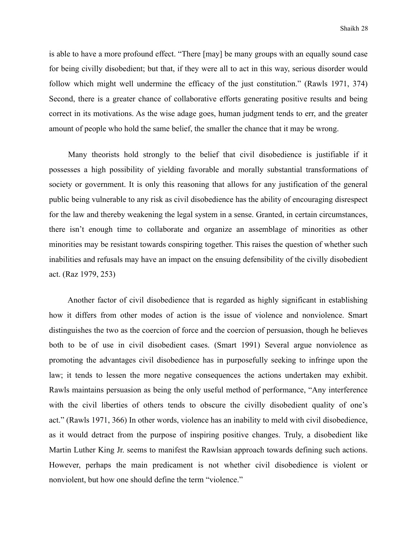is able to have a more profound effect. "There [may] be many groups with an equally sound case for being civilly disobedient; but that, if they were all to act in this way, serious disorder would follow which might well undermine the efficacy of the just constitution." (Rawls 1971, 374) Second, there is a greater chance of collaborative efforts generating positive results and being correct in its motivations. As the wise adage goes, human judgment tends to err, and the greater amount of people who hold the same belief, the smaller the chance that it may be wrong.

 Many theorists hold strongly to the belief that civil disobedience is justifiable if it possesses a high possibility of yielding favorable and morally substantial transformations of society or government. It is only this reasoning that allows for any justification of the general public being vulnerable to any risk as civil disobedience has the ability of encouraging disrespect for the law and thereby weakening the legal system in a sense. Granted, in certain circumstances, there isn't enough time to collaborate and organize an assemblage of minorities as other minorities may be resistant towards conspiring together. This raises the question of whether such inabilities and refusals may have an impact on the ensuing defensibility of the civilly disobedient act. (Raz 1979, 253)

 Another factor of civil disobedience that is regarded as highly significant in establishing how it differs from other modes of action is the issue of violence and nonviolence. Smart distinguishes the two as the coercion of force and the coercion of persuasion, though he believes both to be of use in civil disobedient cases. (Smart 1991) Several argue nonviolence as promoting the advantages civil disobedience has in purposefully seeking to infringe upon the law; it tends to lessen the more negative consequences the actions undertaken may exhibit. Rawls maintains persuasion as being the only useful method of performance, "Any interference with the civil liberties of others tends to obscure the civilly disobedient quality of one's act." (Rawls 1971, 366) In other words, violence has an inability to meld with civil disobedience, as it would detract from the purpose of inspiring positive changes. Truly, a disobedient like Martin Luther King Jr. seems to manifest the Rawlsian approach towards defining such actions. However, perhaps the main predicament is not whether civil disobedience is violent or nonviolent, but how one should define the term "violence."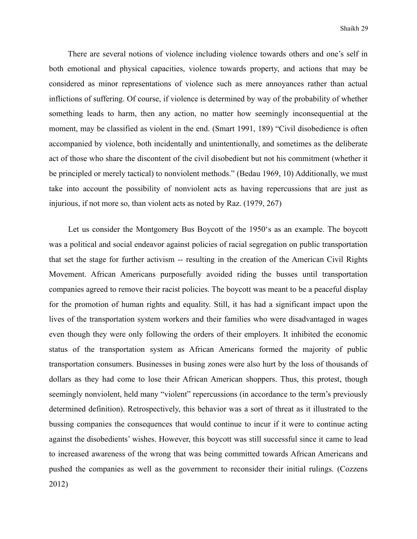There are several notions of violence including violence towards others and one's self in both emotional and physical capacities, violence towards property, and actions that may be considered as minor representations of violence such as mere annoyances rather than actual inflictions of suffering. Of course, if violence is determined by way of the probability of whether something leads to harm, then any action, no matter how seemingly inconsequential at the moment, may be classified as violent in the end. (Smart 1991, 189) "Civil disobedience is often accompanied by violence, both incidentally and unintentionally, and sometimes as the deliberate act of those who share the discontent of the civil disobedient but not his commitment (whether it be principled or merely tactical) to nonviolent methods." (Bedau 1969, 10) Additionally, we must take into account the possibility of nonviolent acts as having repercussions that are just as injurious, if not more so, than violent acts as noted by Raz. (1979, 267)

 Let us consider the Montgomery Bus Boycott of the 1950's as an example. The boycott was a political and social endeavor against policies of racial segregation on public transportation that set the stage for further activism -- resulting in the creation of the American Civil Rights Movement. African Americans purposefully avoided riding the busses until transportation companies agreed to remove their racist policies. The boycott was meant to be a peaceful display for the promotion of human rights and equality. Still, it has had a significant impact upon the lives of the transportation system workers and their families who were disadvantaged in wages even though they were only following the orders of their employers. It inhibited the economic status of the transportation system as African Americans formed the majority of public transportation consumers. Businesses in busing zones were also hurt by the loss of thousands of dollars as they had come to lose their African American shoppers. Thus, this protest, though seemingly nonviolent, held many "violent" repercussions (in accordance to the term's previously determined definition). Retrospectively, this behavior was a sort of threat as it illustrated to the bussing companies the consequences that would continue to incur if it were to continue acting against the disobedients' wishes. However, this boycott was still successful since it came to lead to increased awareness of the wrong that was being committed towards African Americans and pushed the companies as well as the government to reconsider their initial rulings. (Cozzens 2012)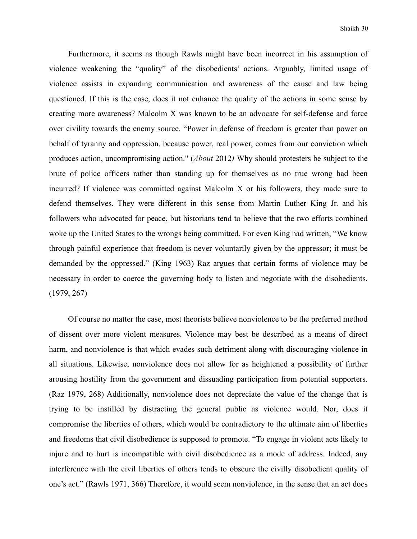Furthermore, it seems as though Rawls might have been incorrect in his assumption of violence weakening the "quality" of the disobedients' actions. Arguably, limited usage of violence assists in expanding communication and awareness of the cause and law being questioned. If this is the case, does it not enhance the quality of the actions in some sense by creating more awareness? Malcolm X was known to be an advocate for self-defense and force over civility towards the enemy source. "Power in defense of freedom is greater than power on behalf of tyranny and oppression, because power, real power, comes from our conviction which produces action, uncompromising action." (*About* 2012*)* Why should protesters be subject to the brute of police officers rather than standing up for themselves as no true wrong had been incurred? If violence was committed against Malcolm X or his followers, they made sure to defend themselves. They were different in this sense from Martin Luther King Jr. and his followers who advocated for peace, but historians tend to believe that the two efforts combined woke up the United States to the wrongs being committed. For even King had written, "We know through painful experience that freedom is never voluntarily given by the oppressor; it must be demanded by the oppressed." (King 1963) Raz argues that certain forms of violence may be necessary in order to coerce the governing body to listen and negotiate with the disobedients. (1979, 267)

 Of course no matter the case, most theorists believe nonviolence to be the preferred method of dissent over more violent measures. Violence may best be described as a means of direct harm, and nonviolence is that which evades such detriment along with discouraging violence in all situations. Likewise, nonviolence does not allow for as heightened a possibility of further arousing hostility from the government and dissuading participation from potential supporters. (Raz 1979, 268) Additionally, nonviolence does not depreciate the value of the change that is trying to be instilled by distracting the general public as violence would. Nor, does it compromise the liberties of others, which would be contradictory to the ultimate aim of liberties and freedoms that civil disobedience is supposed to promote. "To engage in violent acts likely to injure and to hurt is incompatible with civil disobedience as a mode of address. Indeed, any interference with the civil liberties of others tends to obscure the civilly disobedient quality of one's act." (Rawls 1971, 366) Therefore, it would seem nonviolence, in the sense that an act does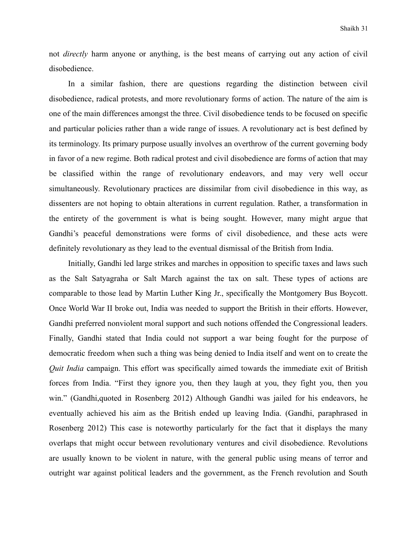not *directly* harm anyone or anything, is the best means of carrying out any action of civil disobedience.

 In a similar fashion, there are questions regarding the distinction between civil disobedience, radical protests, and more revolutionary forms of action. The nature of the aim is one of the main differences amongst the three. Civil disobedience tends to be focused on specific and particular policies rather than a wide range of issues. A revolutionary act is best defined by its terminology. Its primary purpose usually involves an overthrow of the current governing body in favor of a new regime. Both radical protest and civil disobedience are forms of action that may be classified within the range of revolutionary endeavors, and may very well occur simultaneously. Revolutionary practices are dissimilar from civil disobedience in this way, as dissenters are not hoping to obtain alterations in current regulation. Rather, a transformation in the entirety of the government is what is being sought. However, many might argue that Gandhi's peaceful demonstrations were forms of civil disobedience, and these acts were definitely revolutionary as they lead to the eventual dismissal of the British from India.

 Initially, Gandhi led large strikes and marches in opposition to specific taxes and laws such as the Salt Satyagraha or Salt March against the tax on salt. These types of actions are comparable to those lead by Martin Luther King Jr., specifically the Montgomery Bus Boycott. Once World War II broke out, India was needed to support the British in their efforts. However, Gandhi preferred nonviolent moral support and such notions offended the Congressional leaders. Finally, Gandhi stated that India could not support a war being fought for the purpose of democratic freedom when such a thing was being denied to India itself and went on to create the *Quit India* campaign. This effort was specifically aimed towards the immediate exit of British forces from India. "First they ignore you, then they laugh at you, they fight you, then you win." (Gandhi,quoted in Rosenberg 2012) Although Gandhi was jailed for his endeavors, he eventually achieved his aim as the British ended up leaving India. (Gandhi, paraphrased in Rosenberg 2012) This case is noteworthy particularly for the fact that it displays the many overlaps that might occur between revolutionary ventures and civil disobedience. Revolutions are usually known to be violent in nature, with the general public using means of terror and outright war against political leaders and the government, as the French revolution and South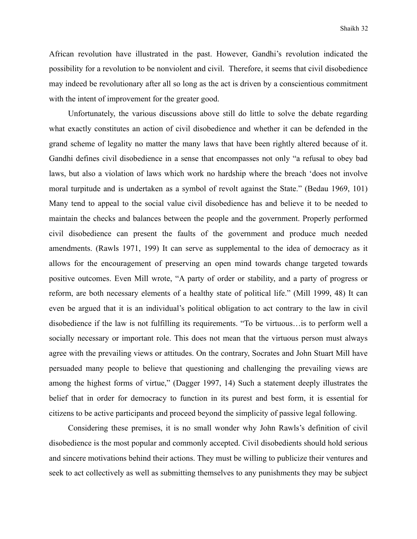African revolution have illustrated in the past. However, Gandhi's revolution indicated the possibility for a revolution to be nonviolent and civil. Therefore, it seems that civil disobedience may indeed be revolutionary after all so long as the act is driven by a conscientious commitment with the intent of improvement for the greater good.

 Unfortunately, the various discussions above still do little to solve the debate regarding what exactly constitutes an action of civil disobedience and whether it can be defended in the grand scheme of legality no matter the many laws that have been rightly altered because of it. Gandhi defines civil disobedience in a sense that encompasses not only "a refusal to obey bad laws, but also a violation of laws which work no hardship where the breach 'does not involve moral turpitude and is undertaken as a symbol of revolt against the State." (Bedau 1969, 101) Many tend to appeal to the social value civil disobedience has and believe it to be needed to maintain the checks and balances between the people and the government. Properly performed civil disobedience can present the faults of the government and produce much needed amendments. (Rawls 1971, 199) It can serve as supplemental to the idea of democracy as it allows for the encouragement of preserving an open mind towards change targeted towards positive outcomes. Even Mill wrote, "A party of order or stability, and a party of progress or reform, are both necessary elements of a healthy state of political life." (Mill 1999, 48) It can even be argued that it is an individual's political obligation to act contrary to the law in civil disobedience if the law is not fulfilling its requirements. "To be virtuous…is to perform well a socially necessary or important role. This does not mean that the virtuous person must always agree with the prevailing views or attitudes. On the contrary, Socrates and John Stuart Mill have persuaded many people to believe that questioning and challenging the prevailing views are among the highest forms of virtue," (Dagger 1997, 14) Such a statement deeply illustrates the belief that in order for democracy to function in its purest and best form, it is essential for citizens to be active participants and proceed beyond the simplicity of passive legal following.

 Considering these premises, it is no small wonder why John Rawls's definition of civil disobedience is the most popular and commonly accepted. Civil disobedients should hold serious and sincere motivations behind their actions. They must be willing to publicize their ventures and seek to act collectively as well as submitting themselves to any punishments they may be subject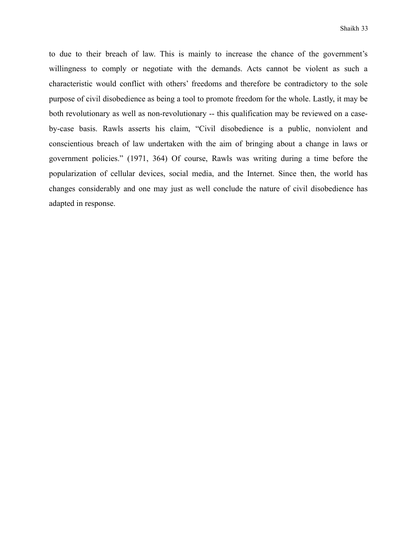to due to their breach of law. This is mainly to increase the chance of the government's willingness to comply or negotiate with the demands. Acts cannot be violent as such a characteristic would conflict with others' freedoms and therefore be contradictory to the sole purpose of civil disobedience as being a tool to promote freedom for the whole. Lastly, it may be both revolutionary as well as non-revolutionary -- this qualification may be reviewed on a caseby-case basis. Rawls asserts his claim, "Civil disobedience is a public, nonviolent and conscientious breach of law undertaken with the aim of bringing about a change in laws or government policies." (1971, 364) Of course, Rawls was writing during a time before the popularization of cellular devices, social media, and the Internet. Since then, the world has changes considerably and one may just as well conclude the nature of civil disobedience has adapted in response.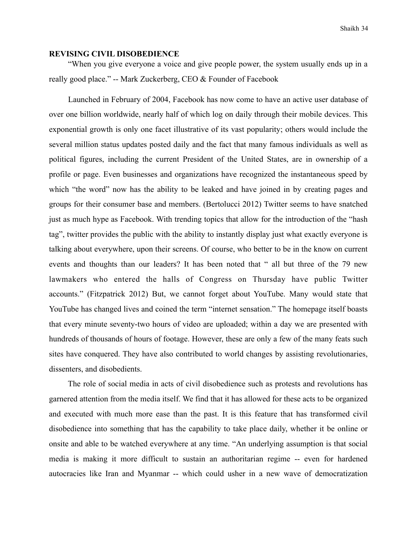#### **REVISING CIVIL DISOBEDIENCE**

 "When you give everyone a voice and give people power, the system usually ends up in a really good place." -- Mark Zuckerberg, CEO & Founder of Facebook

 Launched in February of 2004, Facebook has now come to have an active user database of over one billion worldwide, nearly half of which log on daily through their mobile devices. This exponential growth is only one facet illustrative of its vast popularity; others would include the several million status updates posted daily and the fact that many famous individuals as well as political figures, including the current President of the United States, are in ownership of a profile or page. Even businesses and organizations have recognized the instantaneous speed by which "the word" now has the ability to be leaked and have joined in by creating pages and groups for their consumer base and members. (Bertolucci 2012) Twitter seems to have snatched just as much hype as Facebook. With trending topics that allow for the introduction of the "hash tag", twitter provides the public with the ability to instantly display just what exactly everyone is talking about everywhere, upon their screens. Of course, who better to be in the know on current events and thoughts than our leaders? It has been noted that " all but three of the 79 new lawmakers who entered the halls of Congress on Thursday have public Twitter accounts." (Fitzpatrick 2012) But, we cannot forget about YouTube. Many would state that YouTube has changed lives and coined the term "internet sensation." The homepage itself boasts that every minute seventy-two hours of video are uploaded; within a day we are presented with hundreds of thousands of hours of footage. However, these are only a few of the many feats such sites have conquered. They have also contributed to world changes by assisting revolutionaries, dissenters, and disobedients.

 The role of social media in acts of civil disobedience such as protests and revolutions has garnered attention from the media itself. We find that it has allowed for these acts to be organized and executed with much more ease than the past. It is this feature that has transformed civil disobedience into something that has the capability to take place daily, whether it be online or onsite and able to be watched everywhere at any time. "An underlying assumption is that social media is making it more difficult to sustain an authoritarian regime -- even for hardened autocracies like Iran and Myanmar -- which could usher in a new wave of democratization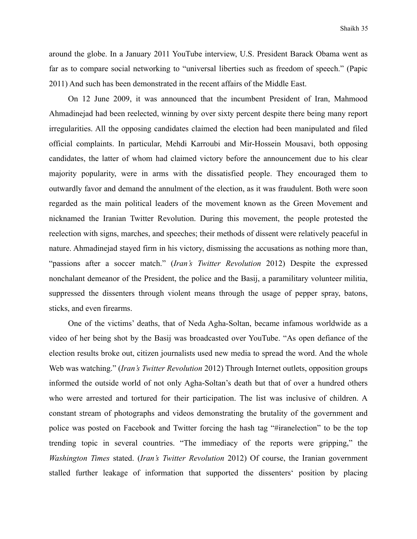around the globe. In a January 2011 YouTube interview, U.S. President Barack Obama went as far as to compare social networking to "universal liberties such as freedom of speech." (Papic 2011) And such has been demonstrated in the recent affairs of the Middle East.

 On 12 June 2009, it was announced that the incumbent President of Iran, Mahmood Ahmadinejad had been reelected, winning by over sixty percent despite there being many report irregularities. All the opposing candidates claimed the election had been manipulated and filed official complaints. In particular, Mehdi Karroubi and Mir-Hossein Mousavi, both opposing candidates, the latter of whom had claimed victory before the announcement due to his clear majority popularity, were in arms with the dissatisfied people. They encouraged them to outwardly favor and demand the annulment of the election, as it was fraudulent. Both were soon regarded as the main political leaders of the movement known as the Green Movement and nicknamed the Iranian Twitter Revolution. During this movement, the people protested the reelection with signs, marches, and speeches; their methods of dissent were relatively peaceful in nature. Ahmadinejad stayed firm in his victory, dismissing the accusations as nothing more than, "passions after a soccer match." (*Iran's Twitter Revolution* 2012) Despite the expressed nonchalant demeanor of the President, the police and the Basij, a paramilitary volunteer militia, suppressed the dissenters through violent means through the usage of pepper spray, batons, sticks, and even firearms.

 One of the victims' deaths, that of Neda Agha-Soltan, became infamous worldwide as a video of her being shot by the Basij was broadcasted over YouTube. "As open defiance of the election results broke out, citizen journalists used new media to spread the word. And the whole Web was watching." (*Iran's Twitter Revolution* 2012) Through Internet outlets, opposition groups informed the outside world of not only Agha-Soltan's death but that of over a hundred others who were arrested and tortured for their participation. The list was inclusive of children. A constant stream of photographs and videos demonstrating the brutality of the government and police was posted on Facebook and Twitter forcing the hash tag "#iranelection" to be the top trending topic in several countries. "The immediacy of the reports were gripping," the *Washington Times* stated. (*Iran's Twitter Revolution* 2012) Of course, the Iranian government stalled further leakage of information that supported the dissenters' position by placing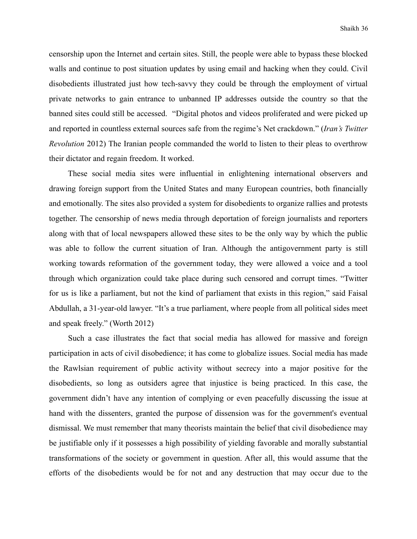censorship upon the Internet and certain sites. Still, the people were able to bypass these blocked walls and continue to post situation updates by using email and hacking when they could. Civil disobedients illustrated just how tech-savvy they could be through the employment of virtual private networks to gain entrance to unbanned IP addresses outside the country so that the banned sites could still be accessed. "Digital photos and videos proliferated and were picked up and reported in countless external sources safe from the regime's Net crackdown." (*Iran's Twitter Revolution* 2012) The Iranian people commanded the world to listen to their pleas to overthrow their dictator and regain freedom. It worked.

 These social media sites were influential in enlightening international observers and drawing foreign support from the United States and many European countries, both financially and emotionally. The sites also provided a system for disobedients to organize rallies and protests together. The censorship of news media through deportation of foreign journalists and reporters along with that of local newspapers allowed these sites to be the only way by which the public was able to follow the current situation of Iran. Although the antigovernment party is still working towards reformation of the government today, they were allowed a voice and a tool through which organization could take place during such censored and corrupt times. "Twitter for us is like a parliament, but not the kind of parliament that exists in this region," said Faisal Abdullah, a 31-year-old lawyer. "It's a true parliament, where people from all political sides meet and speak freely." (Worth 2012)

 Such a case illustrates the fact that social media has allowed for massive and foreign participation in acts of civil disobedience; it has come to globalize issues. Social media has made the Rawlsian requirement of public activity without secrecy into a major positive for the disobedients, so long as outsiders agree that injustice is being practiced. In this case, the government didn't have any intention of complying or even peacefully discussing the issue at hand with the dissenters, granted the purpose of dissension was for the government's eventual dismissal. We must remember that many theorists maintain the belief that civil disobedience may be justifiable only if it possesses a high possibility of yielding favorable and morally substantial transformations of the society or government in question. After all, this would assume that the efforts of the disobedients would be for not and any destruction that may occur due to the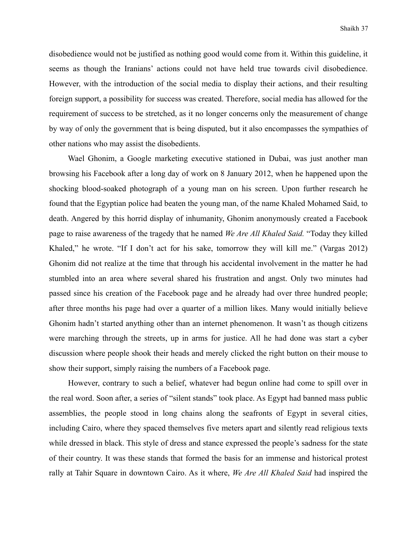disobedience would not be justified as nothing good would come from it. Within this guideline, it seems as though the Iranians' actions could not have held true towards civil disobedience. However, with the introduction of the social media to display their actions, and their resulting foreign support, a possibility for success was created. Therefore, social media has allowed for the requirement of success to be stretched, as it no longer concerns only the measurement of change by way of only the government that is being disputed, but it also encompasses the sympathies of other nations who may assist the disobedients.

 Wael Ghonim, a Google marketing executive stationed in Dubai, was just another man browsing his Facebook after a long day of work on 8 January 2012, when he happened upon the shocking blood-soaked photograph of a young man on his screen. Upon further research he found that the Egyptian police had beaten the young man, of the name Khaled Mohamed Said, to death. Angered by this horrid display of inhumanity, Ghonim anonymously created a Facebook page to raise awareness of the tragedy that he named *We Are All Khaled Said.* "Today they killed Khaled," he wrote. "If I don't act for his sake, tomorrow they will kill me." (Vargas 2012) Ghonim did not realize at the time that through his accidental involvement in the matter he had stumbled into an area where several shared his frustration and angst. Only two minutes had passed since his creation of the Facebook page and he already had over three hundred people; after three months his page had over a quarter of a million likes. Many would initially believe Ghonim hadn't started anything other than an internet phenomenon. It wasn't as though citizens were marching through the streets, up in arms for justice. All he had done was start a cyber discussion where people shook their heads and merely clicked the right button on their mouse to show their support, simply raising the numbers of a Facebook page.

 However, contrary to such a belief, whatever had begun online had come to spill over in the real word. Soon after, a series of "silent stands" took place. As Egypt had banned mass public assemblies, the people stood in long chains along the seafronts of Egypt in several cities, including Cairo, where they spaced themselves five meters apart and silently read religious texts while dressed in black. This style of dress and stance expressed the people's sadness for the state of their country. It was these stands that formed the basis for an immense and historical protest rally at Tahir Square in downtown Cairo. As it where, *We Are All Khaled Said* had inspired the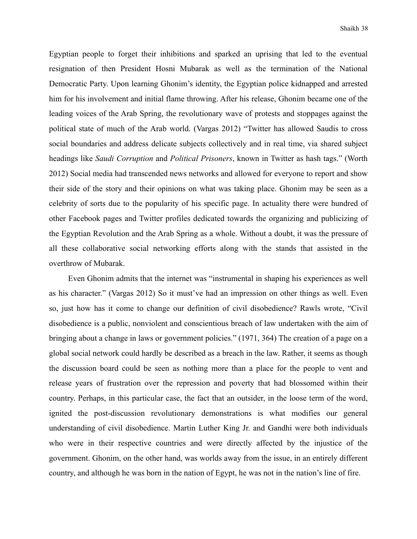Egyptian people to forget their inhibitions and sparked an uprising that led to the eventual resignation of then President Hosni Mubarak as well as the termination of the National Democratic Party. Upon learning Ghonim's identity, the Egyptian police kidnapped and arrested him for his involvement and initial flame throwing. After his release, Ghonim became one of the leading voices of the Arab Spring, the revolutionary wave of protests and stoppages against the political state of much of the Arab world. (Vargas 2012) "Twitter has allowed Saudis to cross social boundaries and address delicate subjects collectively and in real time, via shared subject headings like *Saudi Corruption* and *Political Prisoners*, known in Twitter as hash tags." (Worth 2012) Social media had transcended news networks and allowed for everyone to report and show their side of the story and their opinions on what was taking place. Ghonim may be seen as a celebrity of sorts due to the popularity of his specific page. In actuality there were hundred of other Facebook pages and Twitter profiles dedicated towards the organizing and publicizing of the Egyptian Revolution and the Arab Spring as a whole. Without a doubt, it was the pressure of all these collaborative social networking efforts along with the stands that assisted in the overthrow of Mubarak.

 Even Ghonim admits that the internet was "instrumental in shaping his experiences as well as his character." (Vargas 2012) So it must've had an impression on other things as well. Even so, just how has it come to change our definition of civil disobedience? Rawls wrote, "Civil disobedience is a public, nonviolent and conscientious breach of law undertaken with the aim of bringing about a change in laws or government policies." (1971, 364) The creation of a page on a global social network could hardly be described as a breach in the law. Rather, it seems as though the discussion board could be seen as nothing more than a place for the people to vent and release years of frustration over the repression and poverty that had blossomed within their country. Perhaps, in this particular case, the fact that an outsider, in the loose term of the word, ignited the post-discussion revolutionary demonstrations is what modifies our general understanding of civil disobedience. Martin Luther King Jr. and Gandhi were both individuals who were in their respective countries and were directly affected by the injustice of the government. Ghonim, on the other hand, was worlds away from the issue, in an entirely different country, and although he was born in the nation of Egypt, he was not in the nation's line of fire.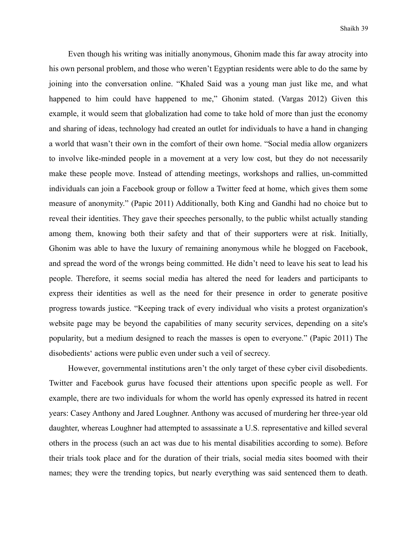Even though his writing was initially anonymous, Ghonim made this far away atrocity into his own personal problem, and those who weren't Egyptian residents were able to do the same by joining into the conversation online. "Khaled Said was a young man just like me, and what happened to him could have happened to me," Ghonim stated. (Vargas 2012) Given this example, it would seem that globalization had come to take hold of more than just the economy and sharing of ideas, technology had created an outlet for individuals to have a hand in changing a world that wasn't their own in the comfort of their own home. "Social media allow organizers to involve like-minded people in a movement at a very low cost, but they do not necessarily make these people move. Instead of attending meetings, workshops and rallies, un-committed individuals can join a Facebook group or follow a Twitter feed at home, which gives them some measure of anonymity." (Papic 2011) Additionally, both King and Gandhi had no choice but to reveal their identities. They gave their speeches personally, to the public whilst actually standing among them, knowing both their safety and that of their supporters were at risk. Initially, Ghonim was able to have the luxury of remaining anonymous while he blogged on Facebook, and spread the word of the wrongs being committed. He didn't need to leave his seat to lead his people. Therefore, it seems social media has altered the need for leaders and participants to express their identities as well as the need for their presence in order to generate positive progress towards justice. "Keeping track of every individual who visits a protest organization's website page may be beyond the capabilities of many security services, depending on a site's popularity, but a medium designed to reach the masses is open to everyone." (Papic 2011) The disobedients' actions were public even under such a veil of secrecy.

 However, governmental institutions aren't the only target of these cyber civil disobedients. Twitter and Facebook gurus have focused their attentions upon specific people as well. For example, there are two individuals for whom the world has openly expressed its hatred in recent years: Casey Anthony and Jared Loughner. Anthony was accused of murdering her three-year old daughter, whereas Loughner had attempted to assassinate a U.S. representative and killed several others in the process (such an act was due to his mental disabilities according to some). Before their trials took place and for the duration of their trials, social media sites boomed with their names; they were the trending topics, but nearly everything was said sentenced them to death.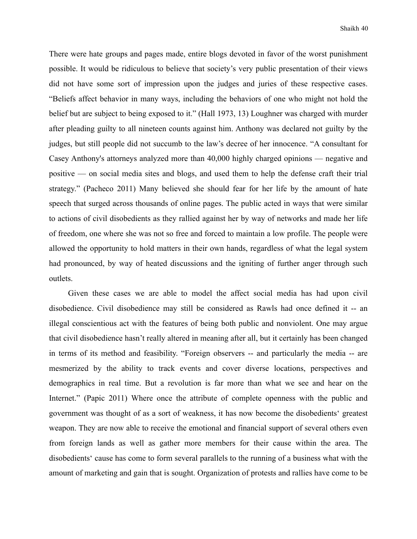There were hate groups and pages made, entire blogs devoted in favor of the worst punishment possible. It would be ridiculous to believe that society's very public presentation of their views did not have some sort of impression upon the judges and juries of these respective cases. "Beliefs affect behavior in many ways, including the behaviors of one who might not hold the belief but are subject to being exposed to it." (Hall 1973, 13) Loughner was charged with murder after pleading guilty to all nineteen counts against him. Anthony was declared not guilty by the judges, but still people did not succumb to the law's decree of her innocence. "A consultant for Casey Anthony's attorneys analyzed more than 40,000 highly charged opinions — negative and positive — on social media sites and blogs, and used them to help the defense craft their trial strategy." (Pacheco 2011) Many believed she should fear for her life by the amount of hate speech that surged across thousands of online pages. The public acted in ways that were similar to actions of civil disobedients as they rallied against her by way of networks and made her life of freedom, one where she was not so free and forced to maintain a low profile. The people were allowed the opportunity to hold matters in their own hands, regardless of what the legal system had pronounced, by way of heated discussions and the igniting of further anger through such outlets.

 Given these cases we are able to model the affect social media has had upon civil disobedience. Civil disobedience may still be considered as Rawls had once defined it -- an illegal conscientious act with the features of being both public and nonviolent. One may argue that civil disobedience hasn't really altered in meaning after all, but it certainly has been changed in terms of its method and feasibility. "Foreign observers -- and particularly the media -- are mesmerized by the ability to track events and cover diverse locations, perspectives and demographics in real time. But a revolution is far more than what we see and hear on the Internet." (Papic 2011) Where once the attribute of complete openness with the public and government was thought of as a sort of weakness, it has now become the disobedients' greatest weapon. They are now able to receive the emotional and financial support of several others even from foreign lands as well as gather more members for their cause within the area. The disobedients' cause has come to form several parallels to the running of a business what with the amount of marketing and gain that is sought. Organization of protests and rallies have come to be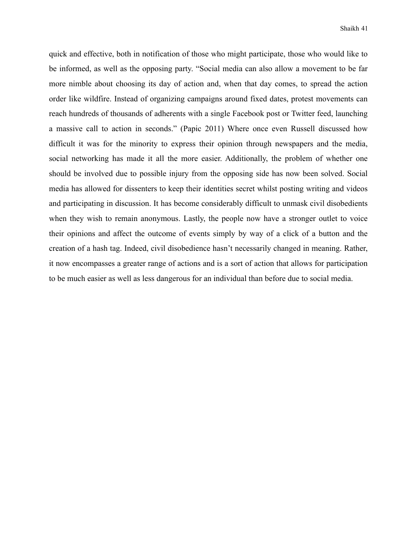quick and effective, both in notification of those who might participate, those who would like to be informed, as well as the opposing party. "Social media can also allow a movement to be far more nimble about choosing its day of action and, when that day comes, to spread the action order like wildfire. Instead of organizing campaigns around fixed dates, protest movements can reach hundreds of thousands of adherents with a single Facebook post or Twitter feed, launching a massive call to action in seconds." (Papic 2011) Where once even Russell discussed how difficult it was for the minority to express their opinion through newspapers and the media, social networking has made it all the more easier. Additionally, the problem of whether one should be involved due to possible injury from the opposing side has now been solved. Social media has allowed for dissenters to keep their identities secret whilst posting writing and videos and participating in discussion. It has become considerably difficult to unmask civil disobedients when they wish to remain anonymous. Lastly, the people now have a stronger outlet to voice their opinions and affect the outcome of events simply by way of a click of a button and the creation of a hash tag. Indeed, civil disobedience hasn't necessarily changed in meaning. Rather, it now encompasses a greater range of actions and is a sort of action that allows for participation to be much easier as well as less dangerous for an individual than before due to social media.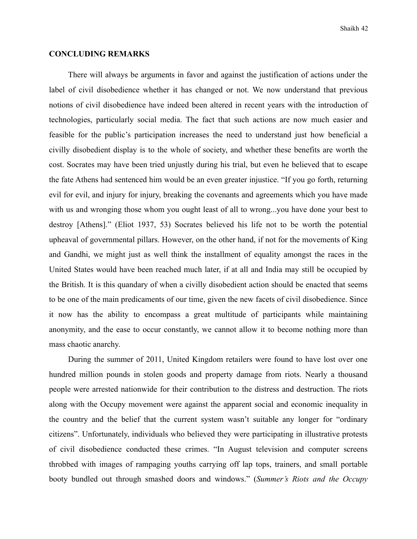#### **CONCLUDING REMARKS**

There will always be arguments in favor and against the justification of actions under the label of civil disobedience whether it has changed or not. We now understand that previous notions of civil disobedience have indeed been altered in recent years with the introduction of technologies, particularly social media. The fact that such actions are now much easier and feasible for the public's participation increases the need to understand just how beneficial a civilly disobedient display is to the whole of society, and whether these benefits are worth the cost. Socrates may have been tried unjustly during his trial, but even he believed that to escape the fate Athens had sentenced him would be an even greater injustice. "If you go forth, returning evil for evil, and injury for injury, breaking the covenants and agreements which you have made with us and wronging those whom you ought least of all to wrong...you have done your best to destroy [Athens]." (Eliot 1937, 53) Socrates believed his life not to be worth the potential upheaval of governmental pillars. However, on the other hand, if not for the movements of King and Gandhi, we might just as well think the installment of equality amongst the races in the United States would have been reached much later, if at all and India may still be occupied by the British. It is this quandary of when a civilly disobedient action should be enacted that seems to be one of the main predicaments of our time, given the new facets of civil disobedience. Since it now has the ability to encompass a great multitude of participants while maintaining anonymity, and the ease to occur constantly, we cannot allow it to become nothing more than mass chaotic anarchy.

 During the summer of 2011, United Kingdom retailers were found to have lost over one hundred million pounds in stolen goods and property damage from riots. Nearly a thousand people were arrested nationwide for their contribution to the distress and destruction. The riots along with the Occupy movement were against the apparent social and economic inequality in the country and the belief that the current system wasn't suitable any longer for "ordinary citizens". Unfortunately, individuals who believed they were participating in illustrative protests of civil disobedience conducted these crimes. "In August television and computer screens throbbed with images of rampaging youths carrying off lap tops, trainers, and small portable booty bundled out through smashed doors and windows." (*Summer's Riots and the Occupy*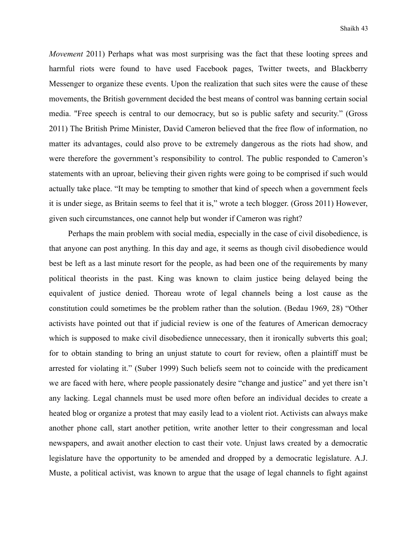*Movement* 2011) Perhaps what was most surprising was the fact that these looting sprees and harmful riots were found to have used Facebook pages, Twitter tweets, and Blackberry Messenger to organize these events. Upon the realization that such sites were the cause of these movements, the British government decided the best means of control was banning certain social media. "Free speech is central to our democracy, but so is public safety and security." (Gross 2011) The British Prime Minister, David Cameron believed that the free flow of information, no matter its advantages, could also prove to be extremely dangerous as the riots had show, and were therefore the government's responsibility to control. The public responded to Cameron's statements with an uproar, believing their given rights were going to be comprised if such would actually take place. "It may be tempting to smother that kind of speech when a government feels it is under siege, as Britain seems to feel that it is," wrote a tech blogger. (Gross 2011) However, given such circumstances, one cannot help but wonder if Cameron was right?

 Perhaps the main problem with social media, especially in the case of civil disobedience, is that anyone can post anything. In this day and age, it seems as though civil disobedience would best be left as a last minute resort for the people, as had been one of the requirements by many political theorists in the past. King was known to claim justice being delayed being the equivalent of justice denied. Thoreau wrote of legal channels being a lost cause as the constitution could sometimes be the problem rather than the solution. (Bedau 1969, 28) "Other activists have pointed out that if judicial review is one of the features of American democracy which is supposed to make civil disobedience unnecessary, then it ironically subverts this goal; for to obtain standing to bring an unjust statute to court for review, often a plaintiff must be arrested for violating it." (Suber 1999) Such beliefs seem not to coincide with the predicament we are faced with here, where people passionately desire "change and justice" and yet there isn't any lacking. Legal channels must be used more often before an individual decides to create a heated blog or organize a protest that may easily lead to a violent riot. Activists can always make another phone call, start another petition, write another letter to their congressman and local newspapers, and await another election to cast their vote. Unjust laws created by a democratic legislature have the opportunity to be amended and dropped by a democratic legislature. A.J. Muste, a political activist, was known to argue that the usage of legal channels to fight against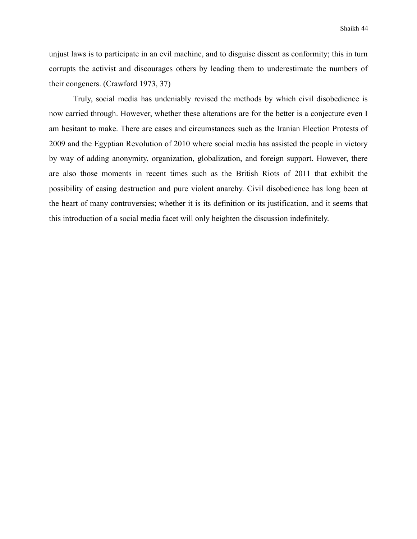unjust laws is to participate in an evil machine, and to disguise dissent as conformity; this in turn corrupts the activist and discourages others by leading them to underestimate the numbers of their congeners. (Crawford 1973, 37)

 Truly, social media has undeniably revised the methods by which civil disobedience is now carried through. However, whether these alterations are for the better is a conjecture even I am hesitant to make. There are cases and circumstances such as the Iranian Election Protests of 2009 and the Egyptian Revolution of 2010 where social media has assisted the people in victory by way of adding anonymity, organization, globalization, and foreign support. However, there are also those moments in recent times such as the British Riots of 2011 that exhibit the possibility of easing destruction and pure violent anarchy. Civil disobedience has long been at the heart of many controversies; whether it is its definition or its justification, and it seems that this introduction of a social media facet will only heighten the discussion indefinitely.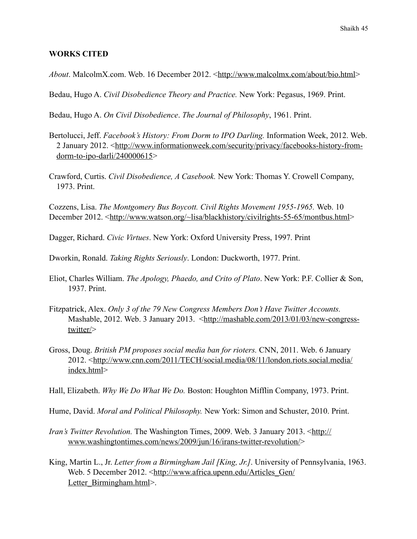#### **WORKS CITED**

*About*. MalcolmX.com. Web. 16 December 2012. <<http://www.malcolmx.com/about/bio.html>>

Bedau, Hugo A. *Civil Disobedience Theory and Practice.* New York: Pegasus, 1969. Print.

Bedau, Hugo A. *On Civil Disobedience*. *The Journal of Philosophy*, 1961. Print.

- Bertolucci, Jeff. *Facebook's History: From Dorm to IPO Darling.* Information Week, 2012. Web. 2 January 2012. [<http://www.informationweek.com/security/privacy/facebooks-history-from](http://www.informationweek.com/security/privacy/facebooks-history-from-dorm-to-ipo-darli/240000615) $dorm-to-ipo-darli/240000615$
- Crawford, Curtis. *Civil Disobedience, A Casebook.* New York: Thomas Y. Crowell Company, 1973. Print.

Cozzens, Lisa. *The Montgomery Bus Boycott. Civil Rights Movement 1955-1965.* Web. 10 December 2012. [<http://www.watson.org/~lisa/blackhistory/civilrights-55-65/montbus.html>](http://www.watson.org/~lisa/blackhistory/civilrights-55-65/montbus.html)

Dagger, Richard. *Civic Virtues*. New York: Oxford University Press, 1997. Print

Dworkin, Ronald. *Taking Rights Seriously*. London: Duckworth, 1977. Print.

- Eliot, Charles William. *The Apology, Phaedo, and Crito of Plato*. New York: P.F. Collier & Son, 1937. Print.
- Fitzpatrick, Alex. *Only 3 of the 79 New Congress Members Don't Have Twitter Accounts.*  Mashable, 2012. Web. 3 January 2013. [<http://mashable.com/2013/01/03/new-congress](http://mashable.com/2013/01/03/new-congress-twitter/)[twitter/>](http://mashable.com/2013/01/03/new-congress-twitter/)
- Gross, Doug. *British PM proposes social media ban for rioters.* CNN, 2011. Web. 6 January 2012. <[http://www.cnn.com/2011/TECH/social.media/08/11/london.riots.social.media/](http://www.cnn.com/2011/TECH/social.media/08/11/london.riots.social.media/index.html) [index.html>](http://www.cnn.com/2011/TECH/social.media/08/11/london.riots.social.media/index.html)

Hall, Elizabeth. *Why We Do What We Do.* Boston: Houghton Mifflin Company, 1973. Print.

Hume, David. *Moral and Political Philosophy.* New York: Simon and Schuster, 2010. Print.

- *Iran's Twitter Revolution.* The Washington Times, 2009. Web. 3 January 2013. <[http://](http://www.washingtontimes.com/news/2009/jun/16/irans-twitter-revolution/) [www.washingtontimes.com/news/2009/jun/16/irans-twitter-revolution/>](http://www.washingtontimes.com/news/2009/jun/16/irans-twitter-revolution/)
- King, Martin L., Jr. *Letter from a Birmingham Jail [King, Jr.]*. University of Pennsylvania, 1963. Web. 5 December 2012. <[http://www.africa.upenn.edu/Articles\\_Gen/](http://www.africa.upenn.edu/Articles_Gen/Letter_Birmingham.html) [Letter\\_Birmingham.html](http://www.africa.upenn.edu/Articles_Gen/Letter_Birmingham.html)>.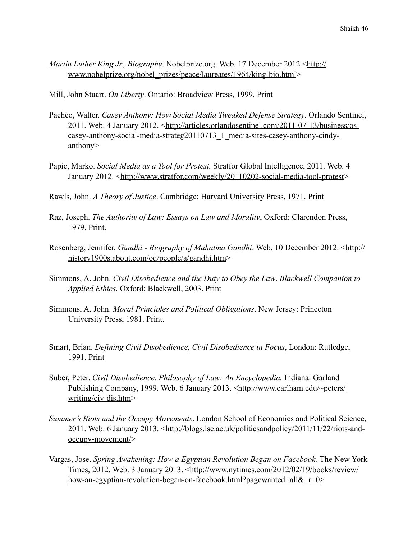- *Martin Luther King Jr., Biography.* Nobelprize.org. Web. 17 December 2012 <[http://](http://www.nobelprize.org/nobel_prizes/peace/laureates/1964/king-bio.html) [www.nobelprize.org/nobel\\_prizes/peace/laureates/1964/king-bio.html](http://www.nobelprize.org/nobel_prizes/peace/laureates/1964/king-bio.html)>
- Mill, John Stuart. *On Liberty*. Ontario: Broadview Press, 1999. Print
- Pacheo, Walter. *Casey Anthony: How Social Media Tweaked Defense Strategy*. Orlando Sentinel, 2011. Web. 4 January 2012. [<http://articles.orlandosentinel.com/2011-07-13/business/os](http://articles.orlandosentinel.com/2011-07-13/business/os-casey-anthony-social-media-strateg20110713_1_media-sites-casey-anthony-cindy-anthony)[casey-anthony-social-media-strateg20110713\\_1\\_media-sites-casey-anthony-cindy](http://articles.orlandosentinel.com/2011-07-13/business/os-casey-anthony-social-media-strateg20110713_1_media-sites-casey-anthony-cindy-anthony)[anthony>](http://articles.orlandosentinel.com/2011-07-13/business/os-casey-anthony-social-media-strateg20110713_1_media-sites-casey-anthony-cindy-anthony)
- Papic, Marko. *Social Media as a Tool for Protest.* Stratfor Global Intelligence, 2011. Web. 4 January 2012. [<http://www.stratfor.com/weekly/20110202-social-media-tool-protest](http://www.stratfor.com/weekly/20110202-social-media-tool-protest)>
- Rawls, John. *A Theory of Justice*. Cambridge: Harvard University Press, 1971. Print
- Raz, Joseph. *The Authority of Law: Essays on Law and Morality*, Oxford: Clarendon Press, 1979. Print.
- Rosenberg, Jennifer. *Gandhi Biography of Mahatma Gandhi*. Web. 10 December 2012. <[http://](http://history1900s.about.com/od/people/a/gandhi.htm) [history1900s.about.com/od/people/a/gandhi.htm>](http://history1900s.about.com/od/people/a/gandhi.htm)
- Simmons, A. John. *Civil Disobedience and the Duty to Obey the Law*. *Blackwell Companion to Applied Ethics*. Oxford: Blackwell, 2003. Print
- Simmons, A. John. *Moral Principles and Political Obligations*. New Jersey: Princeton University Press, 1981. Print.
- Smart, Brian. *Defining Civil Disobedience*, *Civil Disobedience in Focus*, London: Rutledge, 1991. Print
- Suber, Peter. *Civil Disobedience. Philosophy of Law: An Encyclopedia.* Indiana: Garland Publishing Company, 1999. Web. 6 January 2013. <[http://www.earlham.edu/~peters/](http://www.earlham.edu/~peters/writing/civ-dis.htm) [writing/civ-dis.htm](http://www.earlham.edu/~peters/writing/civ-dis.htm)>
- *Summer's Riots and the Occupy Movements*. London School of Economics and Political Science, 2011. Web. 6 January 2013. [<http://blogs.lse.ac.uk/politicsandpolicy/2011/11/22/riots-and](http://blogs.lse.ac.uk/politicsandpolicy/2011/11/22/riots-and-occupy-movement/)[occupy-movement/>](http://blogs.lse.ac.uk/politicsandpolicy/2011/11/22/riots-and-occupy-movement/)
- Vargas, Jose. *Spring Awakening: How a Egyptian Revolution Began on Facebook.* The New York Times, 2012. Web. 3 January 2013. <[http://www.nytimes.com/2012/02/19/books/review/](http://www.nytimes.com/2012/02/19/books/review/how-an-egyptian-revolution-began-on-facebook.html?pagewanted=all&_r=0) how-an-egyptian-revolution-began-on-facebook.html?pagewanted=all& r=0>